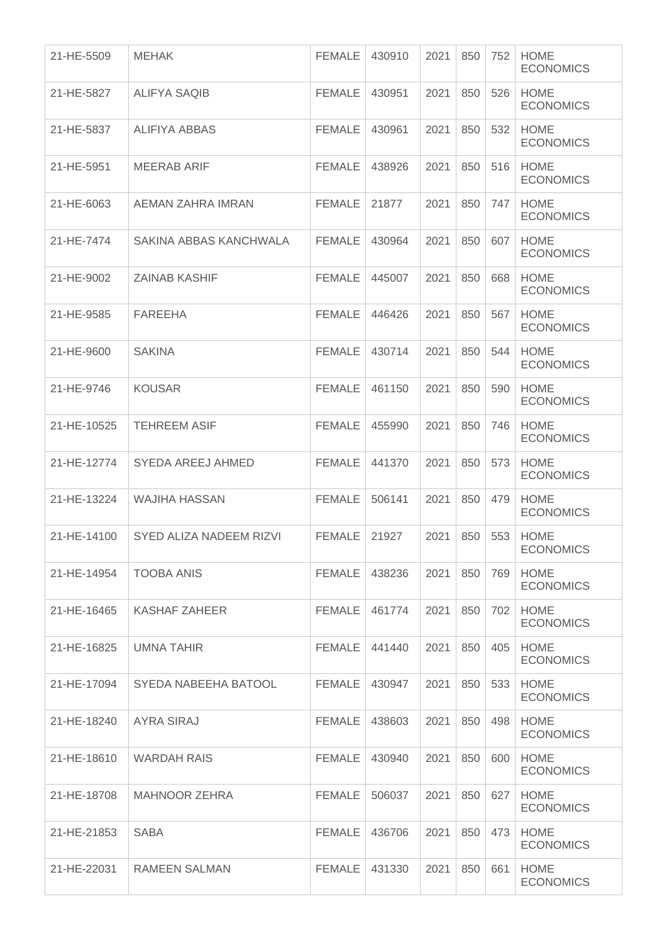| 21-HE-5509  | <b>MEHAK</b>             | <b>FEMALE</b> | 430910 | 2021 | 850 | 752 | <b>HOME</b><br><b>ECONOMICS</b> |
|-------------|--------------------------|---------------|--------|------|-----|-----|---------------------------------|
| 21-HE-5827  | <b>ALIFYA SAQIB</b>      | <b>FEMALE</b> | 430951 | 2021 | 850 | 526 | <b>HOME</b><br><b>ECONOMICS</b> |
| 21-HE-5837  | <b>ALIFIYA ABBAS</b>     | <b>FEMALE</b> | 430961 | 2021 | 850 | 532 | <b>HOME</b><br><b>ECONOMICS</b> |
| 21-HE-5951  | <b>MEERAB ARIF</b>       | <b>FEMALE</b> | 438926 | 2021 | 850 | 516 | <b>HOME</b><br><b>ECONOMICS</b> |
| 21-HE-6063  | AEMAN ZAHRA IMRAN        | <b>FEMALE</b> | 21877  | 2021 | 850 | 747 | <b>HOME</b><br><b>ECONOMICS</b> |
| 21-HE-7474  | SAKINA ABBAS KANCHWALA   | <b>FEMALE</b> | 430964 | 2021 | 850 | 607 | <b>HOME</b><br><b>ECONOMICS</b> |
| 21-HE-9002  | <b>ZAINAB KASHIF</b>     | <b>FEMALE</b> | 445007 | 2021 | 850 | 668 | <b>HOME</b><br><b>ECONOMICS</b> |
| 21-HE-9585  | FAREEHA                  | <b>FEMALE</b> | 446426 | 2021 | 850 | 567 | <b>HOME</b><br><b>ECONOMICS</b> |
| 21-HE-9600  | <b>SAKINA</b>            | <b>FEMALE</b> | 430714 | 2021 | 850 | 544 | <b>HOME</b><br><b>ECONOMICS</b> |
| 21-HE-9746  | <b>KOUSAR</b>            | <b>FEMALE</b> | 461150 | 2021 | 850 | 590 | <b>HOME</b><br><b>ECONOMICS</b> |
| 21-HE-10525 | <b>TEHREEM ASIF</b>      | <b>FEMALE</b> | 455990 | 2021 | 850 | 746 | <b>HOME</b><br><b>ECONOMICS</b> |
| 21-HE-12774 | <b>SYEDA AREEJ AHMED</b> | <b>FEMALE</b> | 441370 | 2021 | 850 | 573 | <b>HOME</b><br><b>ECONOMICS</b> |
| 21-HE-13224 | <b>WAJIHA HASSAN</b>     | <b>FEMALE</b> | 506141 | 2021 | 850 | 479 | <b>HOME</b><br><b>ECONOMICS</b> |
| 21-HE-14100 | SYED ALIZA NADEEM RIZVI  | <b>FEMALE</b> | 21927  | 2021 | 850 | 553 | <b>HOME</b><br><b>ECONOMICS</b> |
| 21-HE-14954 | <b>TOOBA ANIS</b>        | FEMALE        | 438236 | 2021 | 850 | 769 | <b>HOME</b><br><b>ECONOMICS</b> |
| 21-HE-16465 | <b>KASHAF ZAHEER</b>     | <b>FEMALE</b> | 461774 | 2021 | 850 | 702 | <b>HOME</b><br><b>ECONOMICS</b> |
| 21-HE-16825 | <b>UMNA TAHIR</b>        | <b>FEMALE</b> | 441440 | 2021 | 850 | 405 | <b>HOME</b><br><b>ECONOMICS</b> |
| 21-HE-17094 | SYEDA NABEEHA BATOOL     | <b>FEMALE</b> | 430947 | 2021 | 850 | 533 | <b>HOME</b><br><b>ECONOMICS</b> |
| 21-HE-18240 | <b>AYRA SIRAJ</b>        | <b>FEMALE</b> | 438603 | 2021 | 850 | 498 | <b>HOME</b><br><b>ECONOMICS</b> |
| 21-HE-18610 | <b>WARDAH RAIS</b>       | <b>FEMALE</b> | 430940 | 2021 | 850 | 600 | <b>HOME</b><br><b>ECONOMICS</b> |
| 21-HE-18708 | <b>MAHNOOR ZEHRA</b>     | FEMALE        | 506037 | 2021 | 850 | 627 | <b>HOME</b><br><b>ECONOMICS</b> |
| 21-HE-21853 | <b>SABA</b>              | <b>FEMALE</b> | 436706 | 2021 | 850 | 473 | <b>HOME</b><br><b>ECONOMICS</b> |
| 21-HE-22031 | <b>RAMEEN SALMAN</b>     | <b>FEMALE</b> | 431330 | 2021 | 850 | 661 | <b>HOME</b><br><b>ECONOMICS</b> |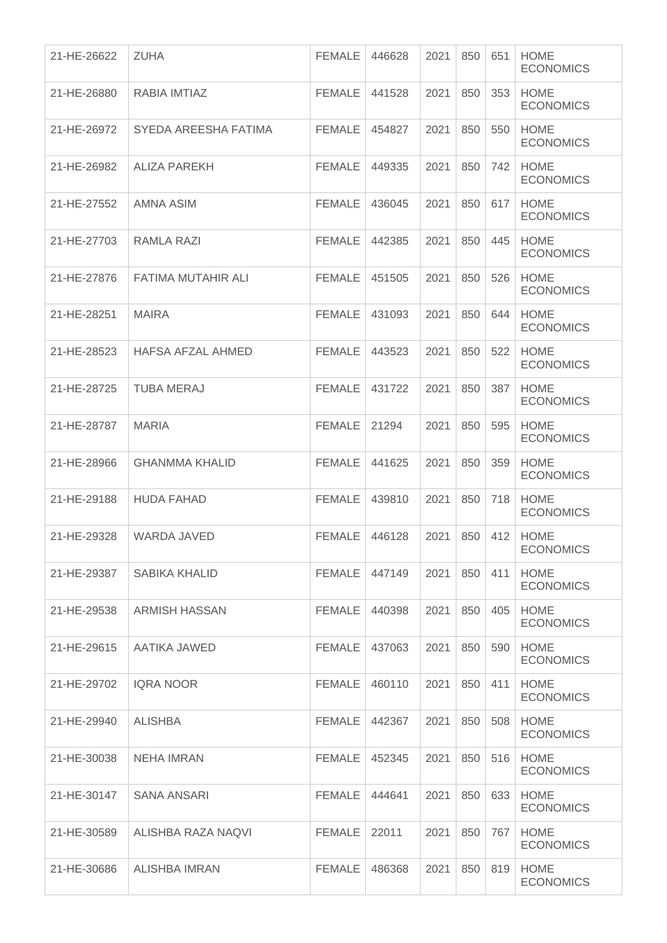| 21-HE-26622 | <b>ZUHA</b>               | <b>FEMALE</b> | 446628 | 2021 | 850 | 651 | <b>HOME</b><br><b>ECONOMICS</b> |
|-------------|---------------------------|---------------|--------|------|-----|-----|---------------------------------|
| 21-HE-26880 | RABIA IMTIAZ              | <b>FEMALE</b> | 441528 | 2021 | 850 | 353 | <b>HOME</b><br><b>ECONOMICS</b> |
| 21-HE-26972 | SYEDA AREESHA FATIMA      | <b>FEMALE</b> | 454827 | 2021 | 850 | 550 | <b>HOME</b><br><b>ECONOMICS</b> |
| 21-HE-26982 | <b>ALIZA PAREKH</b>       | <b>FEMALE</b> | 449335 | 2021 | 850 | 742 | <b>HOME</b><br><b>ECONOMICS</b> |
| 21-HE-27552 | AMNA ASIM                 | <b>FEMALE</b> | 436045 | 2021 | 850 | 617 | <b>HOME</b><br><b>ECONOMICS</b> |
| 21-HE-27703 | RAMLA RAZI                | <b>FEMALE</b> | 442385 | 2021 | 850 | 445 | <b>HOME</b><br><b>ECONOMICS</b> |
| 21-HE-27876 | <b>FATIMA MUTAHIR ALI</b> | <b>FEMALE</b> | 451505 | 2021 | 850 | 526 | <b>HOME</b><br><b>ECONOMICS</b> |
| 21-HE-28251 | <b>MAIRA</b>              | <b>FEMALE</b> | 431093 | 2021 | 850 | 644 | <b>HOME</b><br><b>ECONOMICS</b> |
| 21-HE-28523 | <b>HAFSA AFZAL AHMED</b>  | <b>FEMALE</b> | 443523 | 2021 | 850 | 522 | <b>HOME</b><br><b>ECONOMICS</b> |
| 21-HE-28725 | <b>TUBA MERAJ</b>         | <b>FEMALE</b> | 431722 | 2021 | 850 | 387 | <b>HOME</b><br><b>ECONOMICS</b> |
| 21-HE-28787 | <b>MARIA</b>              | <b>FEMALE</b> | 21294  | 2021 | 850 | 595 | <b>HOME</b><br><b>ECONOMICS</b> |
| 21-HE-28966 | <b>GHANMMA KHALID</b>     | <b>FEMALE</b> | 441625 | 2021 | 850 | 359 | <b>HOME</b><br><b>ECONOMICS</b> |
| 21-HE-29188 | <b>HUDA FAHAD</b>         | <b>FEMALE</b> | 439810 | 2021 | 850 | 718 | <b>HOME</b><br><b>ECONOMICS</b> |
| 21-HE-29328 | <b>WARDA JAVED</b>        | <b>FEMALE</b> | 446128 | 2021 | 850 | 412 | <b>HOME</b><br><b>ECONOMICS</b> |
| 21-HE-29387 | SABIKA KHALID             | FEMALE        | 447149 | 2021 | 850 | 411 | <b>HOME</b><br><b>ECONOMICS</b> |
| 21-HE-29538 | <b>ARMISH HASSAN</b>      | <b>FEMALE</b> | 440398 | 2021 | 850 | 405 | <b>HOME</b><br><b>ECONOMICS</b> |
| 21-HE-29615 | AATIKA JAWED              | <b>FEMALE</b> | 437063 | 2021 | 850 | 590 | <b>HOME</b><br><b>ECONOMICS</b> |
| 21-HE-29702 | <b>IQRA NOOR</b>          | <b>FEMALE</b> | 460110 | 2021 | 850 | 411 | <b>HOME</b><br><b>ECONOMICS</b> |
| 21-HE-29940 | <b>ALISHBA</b>            | FEMALE        | 442367 | 2021 | 850 | 508 | <b>HOME</b><br><b>ECONOMICS</b> |
| 21-HE-30038 | NEHA IMRAN                | <b>FEMALE</b> | 452345 | 2021 | 850 | 516 | <b>HOME</b><br><b>ECONOMICS</b> |
| 21-HE-30147 | <b>SANA ANSARI</b>        | <b>FEMALE</b> | 444641 | 2021 | 850 | 633 | <b>HOME</b><br><b>ECONOMICS</b> |
| 21-HE-30589 | ALISHBA RAZA NAQVI        | <b>FEMALE</b> | 22011  | 2021 | 850 | 767 | <b>HOME</b><br><b>ECONOMICS</b> |
| 21-HE-30686 | ALISHBA IMRAN             | <b>FEMALE</b> | 486368 | 2021 | 850 | 819 | <b>HOME</b><br><b>ECONOMICS</b> |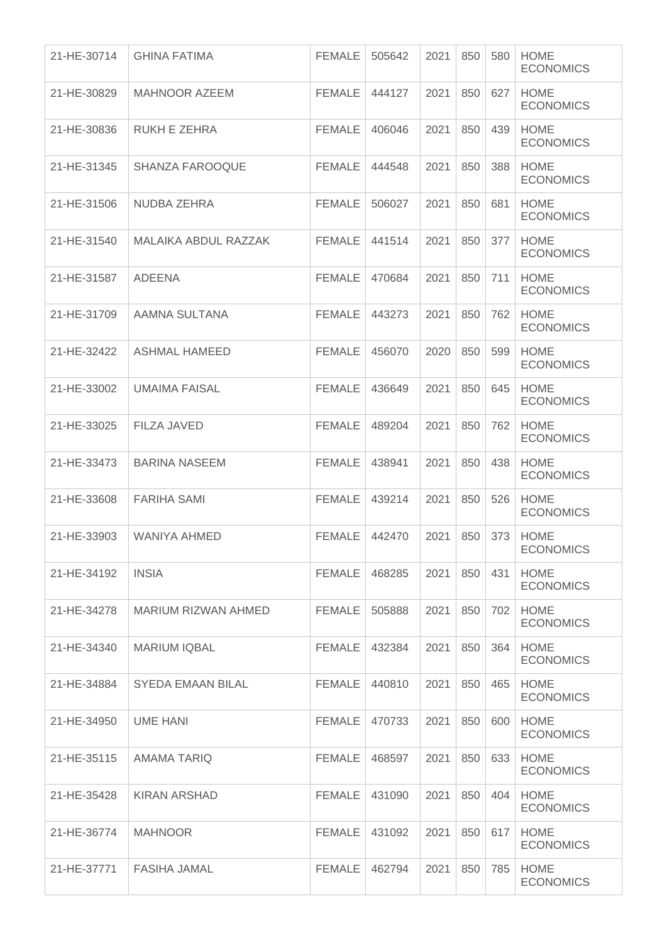| 21-HE-30714 | <b>GHINA FATIMA</b>    | <b>FEMALE</b> | 505642 | 2021 | 850 | 580 | <b>HOME</b><br><b>ECONOMICS</b> |
|-------------|------------------------|---------------|--------|------|-----|-----|---------------------------------|
| 21-HE-30829 | <b>MAHNOOR AZEEM</b>   | <b>FEMALE</b> | 444127 | 2021 | 850 | 627 | <b>HOME</b><br><b>ECONOMICS</b> |
| 21-HE-30836 | RUKH E ZEHRA           | <b>FEMALE</b> | 406046 | 2021 | 850 | 439 | <b>HOME</b><br><b>ECONOMICS</b> |
| 21-HE-31345 | <b>SHANZA FAROOQUE</b> | <b>FEMALE</b> | 444548 | 2021 | 850 | 388 | <b>HOME</b><br><b>ECONOMICS</b> |
| 21-HE-31506 | NUDBA ZEHRA            | <b>FEMALE</b> | 506027 | 2021 | 850 | 681 | <b>HOME</b><br><b>ECONOMICS</b> |
| 21-HE-31540 | MALAIKA ABDUL RAZZAK   | <b>FEMALE</b> | 441514 | 2021 | 850 | 377 | <b>HOME</b><br><b>ECONOMICS</b> |
| 21-HE-31587 | <b>ADEENA</b>          | <b>FEMALE</b> | 470684 | 2021 | 850 | 711 | <b>HOME</b><br><b>ECONOMICS</b> |
| 21-HE-31709 | AAMNA SULTANA          | <b>FEMALE</b> | 443273 | 2021 | 850 | 762 | <b>HOME</b><br><b>ECONOMICS</b> |
| 21-HE-32422 | <b>ASHMAL HAMEED</b>   | <b>FEMALE</b> | 456070 | 2020 | 850 | 599 | <b>HOME</b><br><b>ECONOMICS</b> |
| 21-HE-33002 | <b>UMAIMA FAISAL</b>   | <b>FEMALE</b> | 436649 | 2021 | 850 | 645 | <b>HOME</b><br><b>ECONOMICS</b> |
| 21-HE-33025 | <b>FILZA JAVED</b>     | <b>FEMALE</b> | 489204 | 2021 | 850 | 762 | <b>HOME</b><br><b>ECONOMICS</b> |
| 21-HE-33473 | <b>BARINA NASEEM</b>   | <b>FEMALE</b> | 438941 | 2021 | 850 | 438 | <b>HOME</b><br><b>ECONOMICS</b> |
| 21-HE-33608 | <b>FARIHA SAMI</b>     | <b>FEMALE</b> | 439214 | 2021 | 850 | 526 | <b>HOME</b><br><b>ECONOMICS</b> |
| 21-HE-33903 | <b>WANIYA AHMED</b>    | <b>FEMALE</b> | 442470 | 2021 | 850 | 373 | <b>HOME</b><br><b>ECONOMICS</b> |
| 21-HE-34192 | <b>INSIA</b>           | <b>FEMALE</b> | 468285 | 2021 | 850 | 431 | <b>HOME</b><br><b>ECONOMICS</b> |
| 21-HE-34278 | MARIUM RIZWAN AHMED    | <b>FEMALE</b> | 505888 | 2021 | 850 | 702 | <b>HOME</b><br><b>ECONOMICS</b> |
| 21-HE-34340 | <b>MARIUM IQBAL</b>    | <b>FEMALE</b> | 432384 | 2021 | 850 | 364 | <b>HOME</b><br><b>ECONOMICS</b> |
| 21-HE-34884 | SYEDA EMAAN BILAL      | <b>FEMALE</b> | 440810 | 2021 | 850 | 465 | <b>HOME</b><br><b>ECONOMICS</b> |
| 21-HE-34950 | <b>UME HANI</b>        | <b>FEMALE</b> | 470733 | 2021 | 850 | 600 | <b>HOME</b><br><b>ECONOMICS</b> |
| 21-HE-35115 | AMAMA TARIQ            | <b>FEMALE</b> | 468597 | 2021 | 850 | 633 | <b>HOME</b><br><b>ECONOMICS</b> |
| 21-HE-35428 | <b>KIRAN ARSHAD</b>    | <b>FEMALE</b> | 431090 | 2021 | 850 | 404 | <b>HOME</b><br><b>ECONOMICS</b> |
| 21-HE-36774 | <b>MAHNOOR</b>         | <b>FEMALE</b> | 431092 | 2021 | 850 | 617 | <b>HOME</b><br><b>ECONOMICS</b> |
| 21-HE-37771 | <b>FASIHA JAMAL</b>    | <b>FEMALE</b> | 462794 | 2021 | 850 | 785 | <b>HOME</b><br><b>ECONOMICS</b> |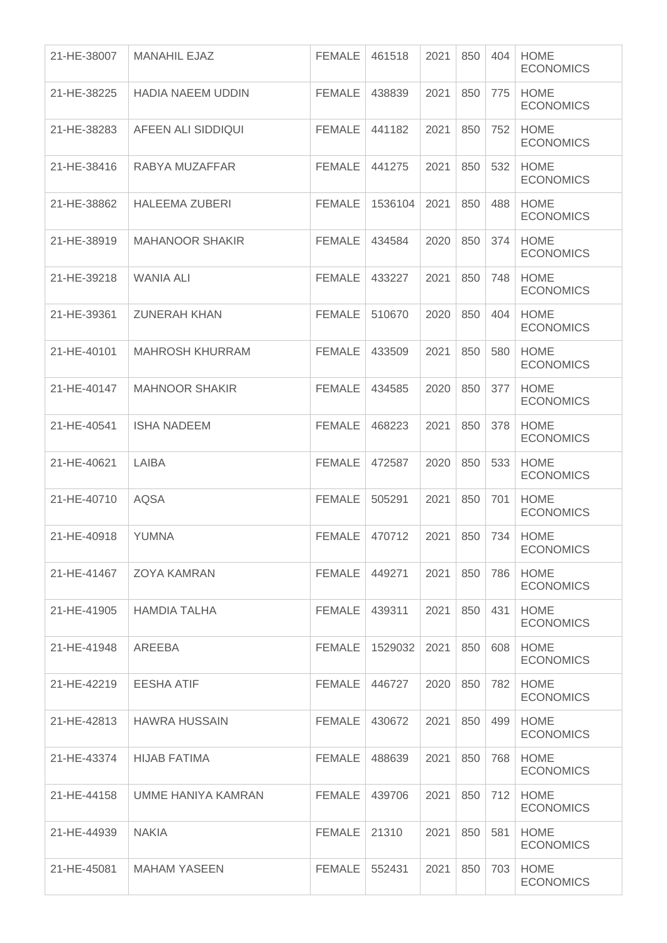| 21-HE-38007 | <b>MANAHIL EJAZ</b>       | <b>FEMALE</b> | 461518  | 2021 | 850 | 404 | <b>HOME</b><br><b>ECONOMICS</b> |
|-------------|---------------------------|---------------|---------|------|-----|-----|---------------------------------|
| 21-HE-38225 | <b>HADIA NAEEM UDDIN</b>  | <b>FEMALE</b> | 438839  | 2021 | 850 | 775 | <b>HOME</b><br><b>ECONOMICS</b> |
| 21-HE-38283 | AFEEN ALI SIDDIQUI        | <b>FEMALE</b> | 441182  | 2021 | 850 | 752 | <b>HOME</b><br><b>ECONOMICS</b> |
| 21-HE-38416 | RABYA MUZAFFAR            | <b>FEMALE</b> | 441275  | 2021 | 850 | 532 | <b>HOME</b><br><b>ECONOMICS</b> |
| 21-HE-38862 | <b>HALEEMA ZUBERI</b>     | <b>FEMALE</b> | 1536104 | 2021 | 850 | 488 | <b>HOME</b><br><b>ECONOMICS</b> |
| 21-HE-38919 | <b>MAHANOOR SHAKIR</b>    | <b>FEMALE</b> | 434584  | 2020 | 850 | 374 | <b>HOME</b><br><b>ECONOMICS</b> |
| 21-HE-39218 | WANIA ALI                 | <b>FEMALE</b> | 433227  | 2021 | 850 | 748 | <b>HOME</b><br><b>ECONOMICS</b> |
| 21-HE-39361 | <b>ZUNERAH KHAN</b>       | <b>FEMALE</b> | 510670  | 2020 | 850 | 404 | <b>HOME</b><br><b>ECONOMICS</b> |
| 21-HE-40101 | <b>MAHROSH KHURRAM</b>    | <b>FEMALE</b> | 433509  | 2021 | 850 | 580 | <b>HOME</b><br><b>ECONOMICS</b> |
| 21-HE-40147 | <b>MAHNOOR SHAKIR</b>     | <b>FEMALE</b> | 434585  | 2020 | 850 | 377 | <b>HOME</b><br><b>ECONOMICS</b> |
| 21-HE-40541 | <b>ISHA NADEEM</b>        | <b>FEMALE</b> | 468223  | 2021 | 850 | 378 | <b>HOME</b><br><b>ECONOMICS</b> |
| 21-HE-40621 | LAIBA                     | <b>FEMALE</b> | 472587  | 2020 | 850 | 533 | <b>HOME</b><br><b>ECONOMICS</b> |
| 21-HE-40710 | <b>AQSA</b>               | <b>FEMALE</b> | 505291  | 2021 | 850 | 701 | <b>HOME</b><br><b>ECONOMICS</b> |
| 21-HE-40918 | <b>YUMNA</b>              | <b>FEMALE</b> | 470712  | 2021 | 850 | 734 | <b>HOME</b><br><b>ECONOMICS</b> |
| 21-HE-41467 | <b>ZOYA KAMRAN</b>        | <b>FEMALE</b> | 449271  | 2021 | 850 | 786 | <b>HOME</b><br><b>ECONOMICS</b> |
| 21-HE-41905 | <b>HAMDIA TALHA</b>       | <b>FEMALE</b> | 439311  | 2021 | 850 | 431 | <b>HOME</b><br><b>ECONOMICS</b> |
| 21-HE-41948 | AREEBA                    | <b>FEMALE</b> | 1529032 | 2021 | 850 | 608 | <b>HOME</b><br><b>ECONOMICS</b> |
| 21-HE-42219 | <b>EESHA ATIF</b>         | <b>FEMALE</b> | 446727  | 2020 | 850 | 782 | <b>HOME</b><br><b>ECONOMICS</b> |
| 21-HE-42813 | <b>HAWRA HUSSAIN</b>      | FEMALE        | 430672  | 2021 | 850 | 499 | <b>HOME</b><br><b>ECONOMICS</b> |
| 21-HE-43374 | <b>HIJAB FATIMA</b>       | <b>FEMALE</b> | 488639  | 2021 | 850 | 768 | <b>HOME</b><br><b>ECONOMICS</b> |
| 21-HE-44158 | <b>UMME HANIYA KAMRAN</b> | <b>FEMALE</b> | 439706  | 2021 | 850 | 712 | <b>HOME</b><br><b>ECONOMICS</b> |
| 21-HE-44939 | <b>NAKIA</b>              | <b>FEMALE</b> | 21310   | 2021 | 850 | 581 | <b>HOME</b><br><b>ECONOMICS</b> |
| 21-HE-45081 | <b>MAHAM YASEEN</b>       | <b>FEMALE</b> | 552431  | 2021 | 850 | 703 | <b>HOME</b><br><b>ECONOMICS</b> |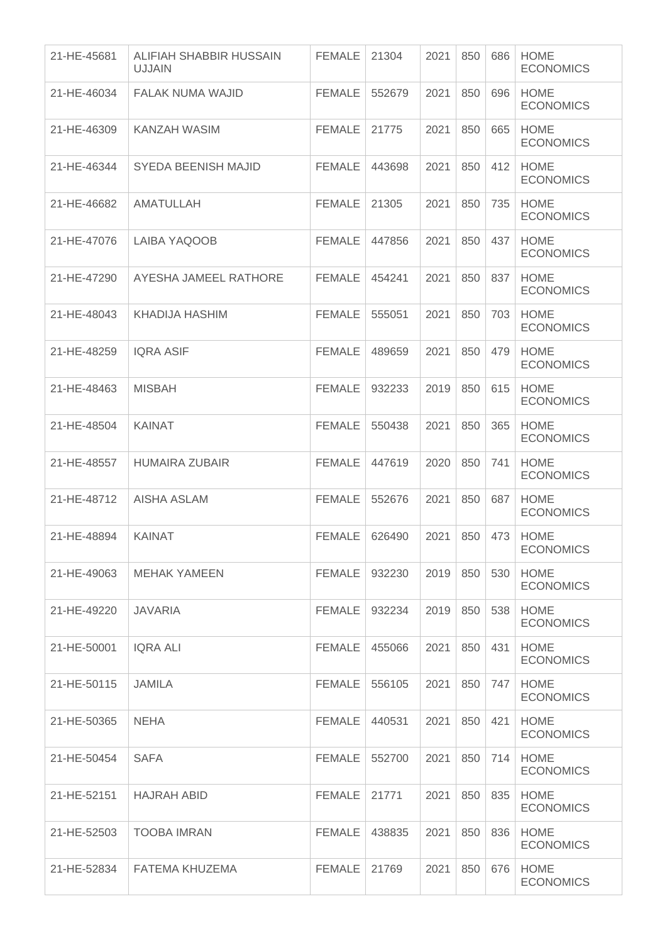| 21-HE-45681 | ALIFIAH SHABBIR HUSSAIN<br><b>UJJAIN</b> | <b>FEMALE</b> | 21304  | 2021 | 850 | 686 | <b>HOME</b><br><b>ECONOMICS</b> |
|-------------|------------------------------------------|---------------|--------|------|-----|-----|---------------------------------|
| 21-HE-46034 | FALAK NUMA WAJID                         | <b>FEMALE</b> | 552679 | 2021 | 850 | 696 | <b>HOME</b><br><b>ECONOMICS</b> |
| 21-HE-46309 | KANZAH WASIM                             | <b>FEMALE</b> | 21775  | 2021 | 850 | 665 | <b>HOME</b><br><b>ECONOMICS</b> |
| 21-HE-46344 | <b>SYEDA BEENISH MAJID</b>               | <b>FEMALE</b> | 443698 | 2021 | 850 | 412 | <b>HOME</b><br><b>ECONOMICS</b> |
| 21-HE-46682 | AMATULLAH                                | <b>FEMALE</b> | 21305  | 2021 | 850 | 735 | <b>HOME</b><br><b>ECONOMICS</b> |
| 21-HE-47076 | LAIBA YAQOOB                             | <b>FEMALE</b> | 447856 | 2021 | 850 | 437 | <b>HOME</b><br><b>ECONOMICS</b> |
| 21-HE-47290 | AYESHA JAMEEL RATHORE                    | <b>FEMALE</b> | 454241 | 2021 | 850 | 837 | <b>HOME</b><br><b>ECONOMICS</b> |
| 21-HE-48043 | KHADIJA HASHIM                           | <b>FEMALE</b> | 555051 | 2021 | 850 | 703 | <b>HOME</b><br><b>ECONOMICS</b> |
| 21-HE-48259 | <b>IQRA ASIF</b>                         | <b>FEMALE</b> | 489659 | 2021 | 850 | 479 | <b>HOME</b><br><b>ECONOMICS</b> |
| 21-HE-48463 | <b>MISBAH</b>                            | <b>FEMALE</b> | 932233 | 2019 | 850 | 615 | <b>HOME</b><br><b>ECONOMICS</b> |
| 21-HE-48504 | <b>KAINAT</b>                            | <b>FEMALE</b> | 550438 | 2021 | 850 | 365 | <b>HOME</b><br><b>ECONOMICS</b> |
| 21-HE-48557 | <b>HUMAIRA ZUBAIR</b>                    | <b>FEMALE</b> | 447619 | 2020 | 850 | 741 | <b>HOME</b><br><b>ECONOMICS</b> |
| 21-HE-48712 | <b>AISHA ASLAM</b>                       | <b>FEMALE</b> | 552676 | 2021 | 850 | 687 | <b>HOME</b><br><b>ECONOMICS</b> |
| 21-HE-48894 | <b>KAINAT</b>                            | <b>FEMALE</b> | 626490 | 2021 | 850 | 473 | <b>HOME</b><br><b>ECONOMICS</b> |
| 21-HE-49063 | MEHAK YAMEEN                             | FEMALE        | 932230 | 2019 | 850 | 530 | <b>HOME</b><br><b>ECONOMICS</b> |
| 21-HE-49220 | <b>JAVARIA</b>                           | <b>FEMALE</b> | 932234 | 2019 | 850 | 538 | <b>HOME</b><br><b>ECONOMICS</b> |
| 21-HE-50001 | <b>IQRA ALI</b>                          | <b>FEMALE</b> | 455066 | 2021 | 850 | 431 | <b>HOME</b><br><b>ECONOMICS</b> |
| 21-HE-50115 | <b>JAMILA</b>                            | <b>FEMALE</b> | 556105 | 2021 | 850 | 747 | <b>HOME</b><br><b>ECONOMICS</b> |
| 21-HE-50365 | <b>NEHA</b>                              | <b>FEMALE</b> | 440531 | 2021 | 850 | 421 | <b>HOME</b><br><b>ECONOMICS</b> |
| 21-HE-50454 | <b>SAFA</b>                              | FEMALE        | 552700 | 2021 | 850 | 714 | <b>HOME</b><br><b>ECONOMICS</b> |
| 21-HE-52151 | <b>HAJRAH ABID</b>                       | <b>FEMALE</b> | 21771  | 2021 | 850 | 835 | <b>HOME</b><br><b>ECONOMICS</b> |
| 21-HE-52503 | <b>TOOBA IMRAN</b>                       | <b>FEMALE</b> | 438835 | 2021 | 850 | 836 | <b>HOME</b><br><b>ECONOMICS</b> |
| 21-HE-52834 | FATEMA KHUZEMA                           | <b>FEMALE</b> | 21769  | 2021 | 850 | 676 | <b>HOME</b><br><b>ECONOMICS</b> |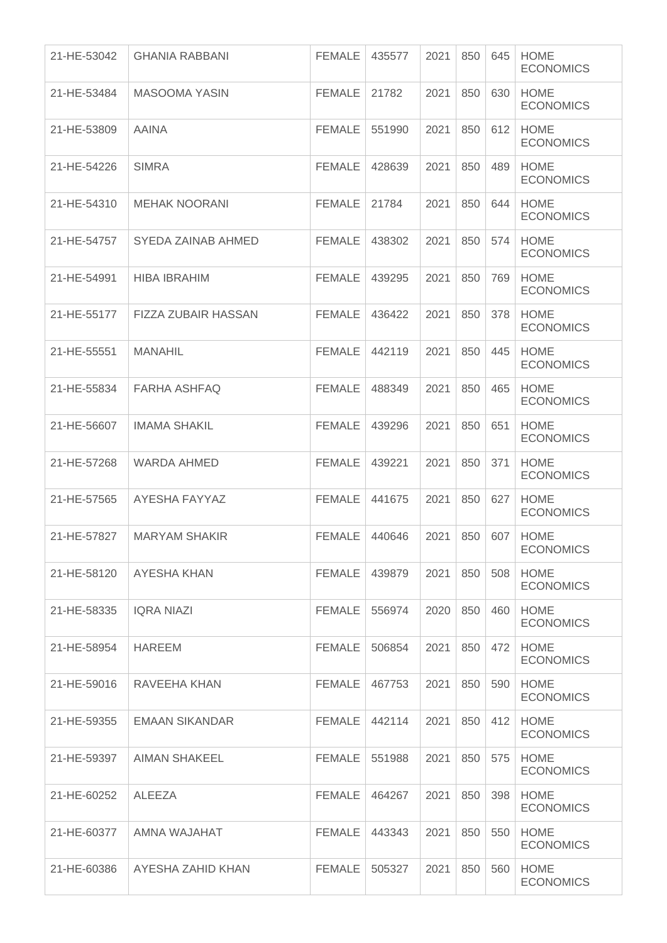| 21-HE-53042 | <b>GHANIA RABBANI</b>      | <b>FEMALE</b> | 435577 | 2021 | 850 | 645 | <b>HOME</b><br><b>ECONOMICS</b> |
|-------------|----------------------------|---------------|--------|------|-----|-----|---------------------------------|
| 21-HE-53484 | <b>MASOOMA YASIN</b>       | FEMALE        | 21782  | 2021 | 850 | 630 | <b>HOME</b><br><b>ECONOMICS</b> |
| 21-HE-53809 | <b>AAINA</b>               | <b>FEMALE</b> | 551990 | 2021 | 850 | 612 | <b>HOME</b><br><b>ECONOMICS</b> |
| 21-HE-54226 | <b>SIMRA</b>               | <b>FEMALE</b> | 428639 | 2021 | 850 | 489 | <b>HOME</b><br><b>ECONOMICS</b> |
| 21-HE-54310 | <b>MEHAK NOORANI</b>       | <b>FEMALE</b> | 21784  | 2021 | 850 | 644 | <b>HOME</b><br><b>ECONOMICS</b> |
| 21-HE-54757 | SYEDA ZAINAB AHMED         | <b>FEMALE</b> | 438302 | 2021 | 850 | 574 | <b>HOME</b><br><b>ECONOMICS</b> |
| 21-HE-54991 | <b>HIBA IBRAHIM</b>        | <b>FEMALE</b> | 439295 | 2021 | 850 | 769 | <b>HOME</b><br><b>ECONOMICS</b> |
| 21-HE-55177 | <b>FIZZA ZUBAIR HASSAN</b> | <b>FEMALE</b> | 436422 | 2021 | 850 | 378 | <b>HOME</b><br><b>ECONOMICS</b> |
| 21-HE-55551 | <b>MANAHIL</b>             | FEMALE        | 442119 | 2021 | 850 | 445 | <b>HOME</b><br><b>ECONOMICS</b> |
| 21-HE-55834 | <b>FARHA ASHFAQ</b>        | <b>FEMALE</b> | 488349 | 2021 | 850 | 465 | <b>HOME</b><br><b>ECONOMICS</b> |
| 21-HE-56607 | <b>IMAMA SHAKIL</b>        | <b>FEMALE</b> | 439296 | 2021 | 850 | 651 | <b>HOME</b><br><b>ECONOMICS</b> |
| 21-HE-57268 | <b>WARDA AHMED</b>         | <b>FEMALE</b> | 439221 | 2021 | 850 | 371 | <b>HOME</b><br><b>ECONOMICS</b> |
| 21-HE-57565 | AYESHA FAYYAZ              | <b>FEMALE</b> | 441675 | 2021 | 850 | 627 | <b>HOME</b><br><b>ECONOMICS</b> |
| 21-HE-57827 | <b>MARYAM SHAKIR</b>       | <b>FEMALE</b> | 440646 | 2021 | 850 | 607 | <b>HOME</b><br><b>ECONOMICS</b> |
| 21-HE-58120 | AYESHA KHAN                | FEMALE        | 439879 | 2021 | 850 | 508 | <b>HOME</b><br><b>ECONOMICS</b> |
| 21-HE-58335 | <b>IQRA NIAZI</b>          | <b>FEMALE</b> | 556974 | 2020 | 850 | 460 | <b>HOME</b><br><b>ECONOMICS</b> |
| 21-HE-58954 | <b>HAREEM</b>              | FEMALE        | 506854 | 2021 | 850 | 472 | <b>HOME</b><br><b>ECONOMICS</b> |
| 21-HE-59016 | RAVEEHA KHAN               | FEMALE        | 467753 | 2021 | 850 | 590 | <b>HOME</b><br><b>ECONOMICS</b> |
| 21-HE-59355 | <b>EMAAN SIKANDAR</b>      | <b>FEMALE</b> | 442114 | 2021 | 850 | 412 | <b>HOME</b><br><b>ECONOMICS</b> |
| 21-HE-59397 | <b>AIMAN SHAKEEL</b>       | <b>FEMALE</b> | 551988 | 2021 | 850 | 575 | <b>HOME</b><br><b>ECONOMICS</b> |
| 21-HE-60252 | <b>ALEEZA</b>              | <b>FEMALE</b> | 464267 | 2021 | 850 | 398 | <b>HOME</b><br><b>ECONOMICS</b> |
| 21-HE-60377 | AMNA WAJAHAT               | <b>FEMALE</b> | 443343 | 2021 | 850 | 550 | <b>HOME</b><br><b>ECONOMICS</b> |
| 21-HE-60386 | AYESHA ZAHID KHAN          | <b>FEMALE</b> | 505327 | 2021 | 850 | 560 | <b>HOME</b><br><b>ECONOMICS</b> |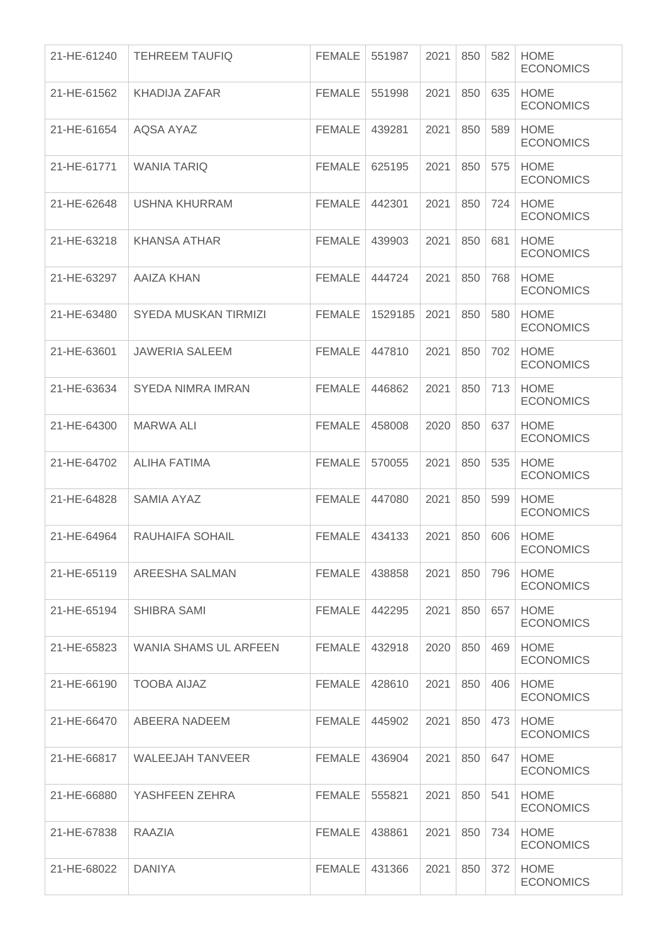| 21-HE-61240 | <b>TEHREEM TAUFIQ</b>       | <b>FEMALE</b> | 551987  | 2021 | 850 | 582 | <b>HOME</b><br><b>ECONOMICS</b> |
|-------------|-----------------------------|---------------|---------|------|-----|-----|---------------------------------|
| 21-HE-61562 | <b>KHADIJA ZAFAR</b>        | <b>FEMALE</b> | 551998  | 2021 | 850 | 635 | <b>HOME</b><br><b>ECONOMICS</b> |
| 21-HE-61654 | AQSA AYAZ                   | <b>FEMALE</b> | 439281  | 2021 | 850 | 589 | <b>HOME</b><br><b>ECONOMICS</b> |
| 21-HE-61771 | <b>WANIA TARIQ</b>          | <b>FEMALE</b> | 625195  | 2021 | 850 | 575 | <b>HOME</b><br><b>ECONOMICS</b> |
| 21-HE-62648 | USHNA KHURRAM               | <b>FEMALE</b> | 442301  | 2021 | 850 | 724 | <b>HOME</b><br><b>ECONOMICS</b> |
| 21-HE-63218 | <b>KHANSA ATHAR</b>         | <b>FEMALE</b> | 439903  | 2021 | 850 | 681 | <b>HOME</b><br><b>ECONOMICS</b> |
| 21-HE-63297 | <b>AAIZA KHAN</b>           | <b>FEMALE</b> | 444724  | 2021 | 850 | 768 | <b>HOME</b><br><b>ECONOMICS</b> |
| 21-HE-63480 | <b>SYEDA MUSKAN TIRMIZI</b> | <b>FEMALE</b> | 1529185 | 2021 | 850 | 580 | <b>HOME</b><br><b>ECONOMICS</b> |
| 21-HE-63601 | <b>JAWERIA SALEEM</b>       | <b>FEMALE</b> | 447810  | 2021 | 850 | 702 | <b>HOME</b><br><b>ECONOMICS</b> |
| 21-HE-63634 | <b>SYEDA NIMRA IMRAN</b>    | <b>FEMALE</b> | 446862  | 2021 | 850 | 713 | <b>HOME</b><br><b>ECONOMICS</b> |
| 21-HE-64300 | <b>MARWA ALI</b>            | <b>FEMALE</b> | 458008  | 2020 | 850 | 637 | <b>HOME</b><br><b>ECONOMICS</b> |
| 21-HE-64702 | ALIHA FATIMA                | <b>FEMALE</b> | 570055  | 2021 | 850 | 535 | <b>HOME</b><br><b>ECONOMICS</b> |
| 21-HE-64828 | <b>SAMIA AYAZ</b>           | <b>FEMALE</b> | 447080  | 2021 | 850 | 599 | <b>HOME</b><br><b>ECONOMICS</b> |
| 21-HE-64964 | RAUHAIFA SOHAIL             | <b>FEMALE</b> | 434133  | 2021 | 850 | 606 | <b>HOME</b><br><b>ECONOMICS</b> |
| 21-HE-65119 | AREESHA SALMAN              | <b>FEMALE</b> | 438858  | 2021 | 850 | 796 | <b>HOME</b><br><b>ECONOMICS</b> |
| 21-HE-65194 | SHIBRA SAMI                 | <b>FEMALE</b> | 442295  | 2021 | 850 | 657 | <b>HOME</b><br><b>ECONOMICS</b> |
| 21-HE-65823 | WANIA SHAMS UL ARFEEN       | <b>FEMALE</b> | 432918  | 2020 | 850 | 469 | <b>HOME</b><br><b>ECONOMICS</b> |
| 21-HE-66190 | <b>TOOBA AIJAZ</b>          | <b>FEMALE</b> | 428610  | 2021 | 850 | 406 | <b>HOME</b><br><b>ECONOMICS</b> |
| 21-HE-66470 | ABEERA NADEEM               | FEMALE        | 445902  | 2021 | 850 | 473 | <b>HOME</b><br><b>ECONOMICS</b> |
| 21-HE-66817 | <b>WALEEJAH TANVEER</b>     | <b>FEMALE</b> | 436904  | 2021 | 850 | 647 | <b>HOME</b><br><b>ECONOMICS</b> |
| 21-HE-66880 | YASHFEEN ZEHRA              | <b>FEMALE</b> | 555821  | 2021 | 850 | 541 | <b>HOME</b><br><b>ECONOMICS</b> |
| 21-HE-67838 | RAAZIA                      | <b>FEMALE</b> | 438861  | 2021 | 850 | 734 | <b>HOME</b><br><b>ECONOMICS</b> |
| 21-HE-68022 | <b>DANIYA</b>               | <b>FEMALE</b> | 431366  | 2021 | 850 | 372 | <b>HOME</b><br><b>ECONOMICS</b> |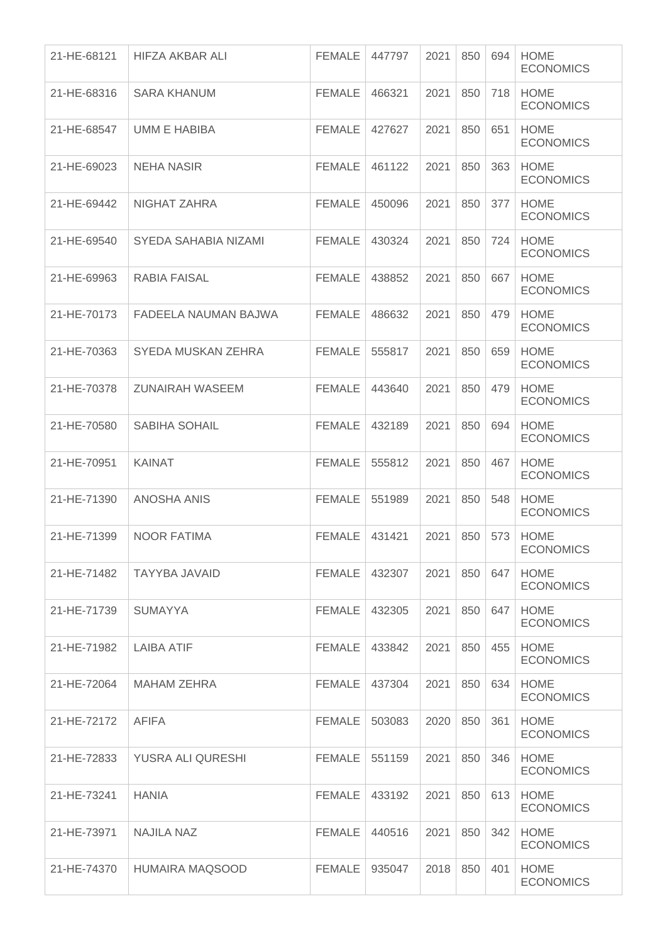| 21-HE-68121 | HIFZA AKBAR ALI        | <b>FEMALE</b> | 447797 | 2021 | 850 | 694 | <b>HOME</b><br><b>ECONOMICS</b> |
|-------------|------------------------|---------------|--------|------|-----|-----|---------------------------------|
| 21-HE-68316 | <b>SARA KHANUM</b>     | <b>FEMALE</b> | 466321 | 2021 | 850 | 718 | <b>HOME</b><br><b>ECONOMICS</b> |
| 21-HE-68547 | <b>UMM E HABIBA</b>    | <b>FEMALE</b> | 427627 | 2021 | 850 | 651 | <b>HOME</b><br><b>ECONOMICS</b> |
| 21-HE-69023 | <b>NEHA NASIR</b>      | <b>FEMALE</b> | 461122 | 2021 | 850 | 363 | <b>HOME</b><br><b>ECONOMICS</b> |
| 21-HE-69442 | NIGHAT ZAHRA           | <b>FEMALE</b> | 450096 | 2021 | 850 | 377 | <b>HOME</b><br><b>ECONOMICS</b> |
| 21-HE-69540 | SYEDA SAHABIA NIZAMI   | <b>FEMALE</b> | 430324 | 2021 | 850 | 724 | <b>HOME</b><br><b>ECONOMICS</b> |
| 21-HE-69963 | <b>RABIA FAISAL</b>    | <b>FEMALE</b> | 438852 | 2021 | 850 | 667 | <b>HOME</b><br><b>ECONOMICS</b> |
| 21-HE-70173 | FADEELA NAUMAN BAJWA   | <b>FEMALE</b> | 486632 | 2021 | 850 | 479 | <b>HOME</b><br><b>ECONOMICS</b> |
| 21-HE-70363 | SYEDA MUSKAN ZEHRA     | <b>FEMALE</b> | 555817 | 2021 | 850 | 659 | <b>HOME</b><br><b>ECONOMICS</b> |
| 21-HE-70378 | <b>ZUNAIRAH WASEEM</b> | <b>FEMALE</b> | 443640 | 2021 | 850 | 479 | <b>HOME</b><br><b>ECONOMICS</b> |
| 21-HE-70580 | <b>SABIHA SOHAIL</b>   | <b>FEMALE</b> | 432189 | 2021 | 850 | 694 | <b>HOME</b><br><b>ECONOMICS</b> |
| 21-HE-70951 | <b>KAINAT</b>          | <b>FEMALE</b> | 555812 | 2021 | 850 | 467 | <b>HOME</b><br><b>ECONOMICS</b> |
| 21-HE-71390 | <b>ANOSHA ANIS</b>     | <b>FEMALE</b> | 551989 | 2021 | 850 | 548 | <b>HOME</b><br><b>ECONOMICS</b> |
| 21-HE-71399 | <b>NOOR FATIMA</b>     | <b>FEMALE</b> | 431421 | 2021 | 850 | 573 | <b>HOME</b><br><b>ECONOMICS</b> |
| 21-HE-71482 | TAYYBA JAVAID          | FEMALE        | 432307 | 2021 | 850 | 647 | <b>HOME</b><br><b>ECONOMICS</b> |
| 21-HE-71739 | <b>SUMAYYA</b>         | <b>FEMALE</b> | 432305 | 2021 | 850 | 647 | <b>HOME</b><br><b>ECONOMICS</b> |
| 21-HE-71982 | <b>LAIBA ATIF</b>      | <b>FEMALE</b> | 433842 | 2021 | 850 | 455 | <b>HOME</b><br><b>ECONOMICS</b> |
| 21-HE-72064 | <b>MAHAM ZEHRA</b>     | <b>FEMALE</b> | 437304 | 2021 | 850 | 634 | <b>HOME</b><br><b>ECONOMICS</b> |
| 21-HE-72172 | <b>AFIFA</b>           | <b>FEMALE</b> | 503083 | 2020 | 850 | 361 | <b>HOME</b><br><b>ECONOMICS</b> |
| 21-HE-72833 | YUSRA ALI QURESHI      | <b>FEMALE</b> | 551159 | 2021 | 850 | 346 | <b>HOME</b><br><b>ECONOMICS</b> |
| 21-HE-73241 | <b>HANIA</b>           | <b>FEMALE</b> | 433192 | 2021 | 850 | 613 | <b>HOME</b><br><b>ECONOMICS</b> |
| 21-HE-73971 | <b>NAJILA NAZ</b>      | <b>FEMALE</b> | 440516 | 2021 | 850 | 342 | <b>HOME</b><br><b>ECONOMICS</b> |
| 21-HE-74370 | HUMAIRA MAQSOOD        | FEMALE        | 935047 | 2018 | 850 | 401 | <b>HOME</b><br><b>ECONOMICS</b> |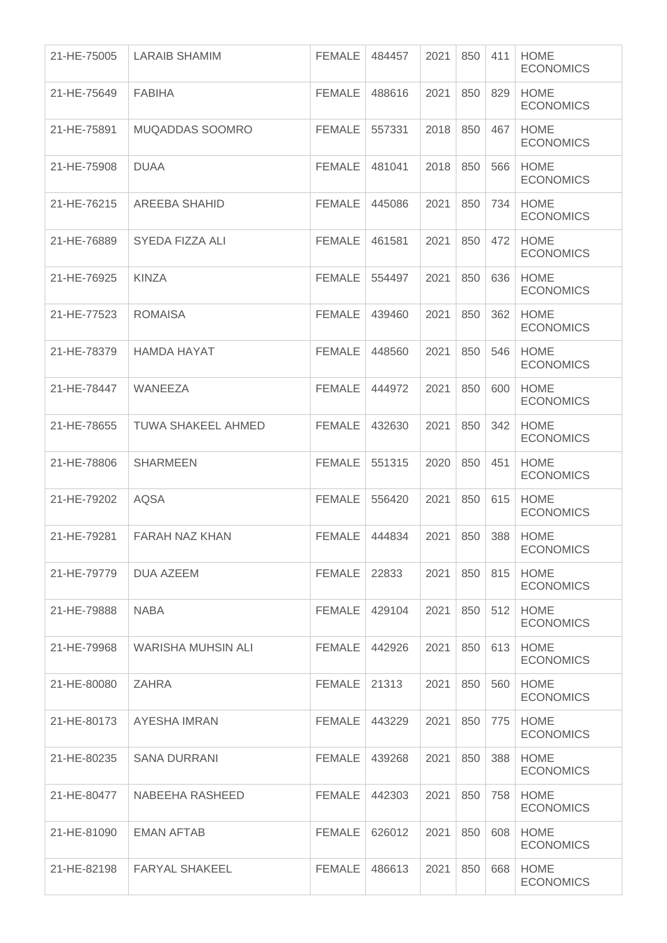| 21-HE-75005 | <b>LARAIB SHAMIM</b>      | <b>FEMALE</b> | 484457 | 2021 | 850 | 411 | <b>HOME</b><br><b>ECONOMICS</b> |
|-------------|---------------------------|---------------|--------|------|-----|-----|---------------------------------|
| 21-HE-75649 | <b>FABIHA</b>             | FEMALE        | 488616 | 2021 | 850 | 829 | <b>HOME</b><br><b>ECONOMICS</b> |
| 21-HE-75891 | <b>MUQADDAS SOOMRO</b>    | <b>FEMALE</b> | 557331 | 2018 | 850 | 467 | <b>HOME</b><br><b>ECONOMICS</b> |
| 21-HE-75908 | <b>DUAA</b>               | <b>FEMALE</b> | 481041 | 2018 | 850 | 566 | <b>HOME</b><br><b>ECONOMICS</b> |
| 21-HE-76215 | <b>AREEBA SHAHID</b>      | <b>FEMALE</b> | 445086 | 2021 | 850 | 734 | <b>HOME</b><br><b>ECONOMICS</b> |
| 21-HE-76889 | SYEDA FIZZA ALI           | <b>FEMALE</b> | 461581 | 2021 | 850 | 472 | <b>HOME</b><br><b>ECONOMICS</b> |
| 21-HE-76925 | <b>KINZA</b>              | <b>FEMALE</b> | 554497 | 2021 | 850 | 636 | <b>HOME</b><br><b>ECONOMICS</b> |
| 21-HE-77523 | <b>ROMAISA</b>            | <b>FEMALE</b> | 439460 | 2021 | 850 | 362 | <b>HOME</b><br><b>ECONOMICS</b> |
| 21-HE-78379 | <b>HAMDA HAYAT</b>        | <b>FEMALE</b> | 448560 | 2021 | 850 | 546 | <b>HOME</b><br><b>ECONOMICS</b> |
| 21-HE-78447 | <b>WANEEZA</b>            | <b>FEMALE</b> | 444972 | 2021 | 850 | 600 | <b>HOME</b><br><b>ECONOMICS</b> |
| 21-HE-78655 | <b>TUWA SHAKEEL AHMED</b> | <b>FEMALE</b> | 432630 | 2021 | 850 | 342 | <b>HOME</b><br><b>ECONOMICS</b> |
| 21-HE-78806 | <b>SHARMEEN</b>           | <b>FEMALE</b> | 551315 | 2020 | 850 | 451 | <b>HOME</b><br><b>ECONOMICS</b> |
| 21-HE-79202 | <b>AQSA</b>               | <b>FEMALE</b> | 556420 | 2021 | 850 | 615 | <b>HOME</b><br><b>ECONOMICS</b> |
| 21-HE-79281 | <b>FARAH NAZ KHAN</b>     | <b>FEMALE</b> | 444834 | 2021 | 850 | 388 | <b>HOME</b><br><b>ECONOMICS</b> |
| 21-HE-79779 | DUA AZEEM                 | <b>FEMALE</b> | 22833  | 2021 | 850 | 815 | <b>HOME</b><br><b>ECONOMICS</b> |
| 21-HE-79888 | <b>NABA</b>               | <b>FEMALE</b> | 429104 | 2021 | 850 | 512 | <b>HOME</b><br><b>ECONOMICS</b> |
| 21-HE-79968 | WARISHA MUHSIN ALI        | <b>FEMALE</b> | 442926 | 2021 | 850 | 613 | <b>HOME</b><br><b>ECONOMICS</b> |
| 21-HE-80080 | <b>ZAHRA</b>              | <b>FEMALE</b> | 21313  | 2021 | 850 | 560 | <b>HOME</b><br><b>ECONOMICS</b> |
| 21-HE-80173 | AYESHA IMRAN              | <b>FEMALE</b> | 443229 | 2021 | 850 | 775 | <b>HOME</b><br><b>ECONOMICS</b> |
| 21-HE-80235 | <b>SANA DURRANI</b>       | <b>FEMALE</b> | 439268 | 2021 | 850 | 388 | <b>HOME</b><br><b>ECONOMICS</b> |
| 21-HE-80477 | NABEEHA RASHEED           | <b>FEMALE</b> | 442303 | 2021 | 850 | 758 | <b>HOME</b><br><b>ECONOMICS</b> |
| 21-HE-81090 | EMAN AFTAB                | <b>FEMALE</b> | 626012 | 2021 | 850 | 608 | <b>HOME</b><br><b>ECONOMICS</b> |
| 21-HE-82198 | <b>FARYAL SHAKEEL</b>     | <b>FEMALE</b> | 486613 | 2021 | 850 | 668 | <b>HOME</b><br><b>ECONOMICS</b> |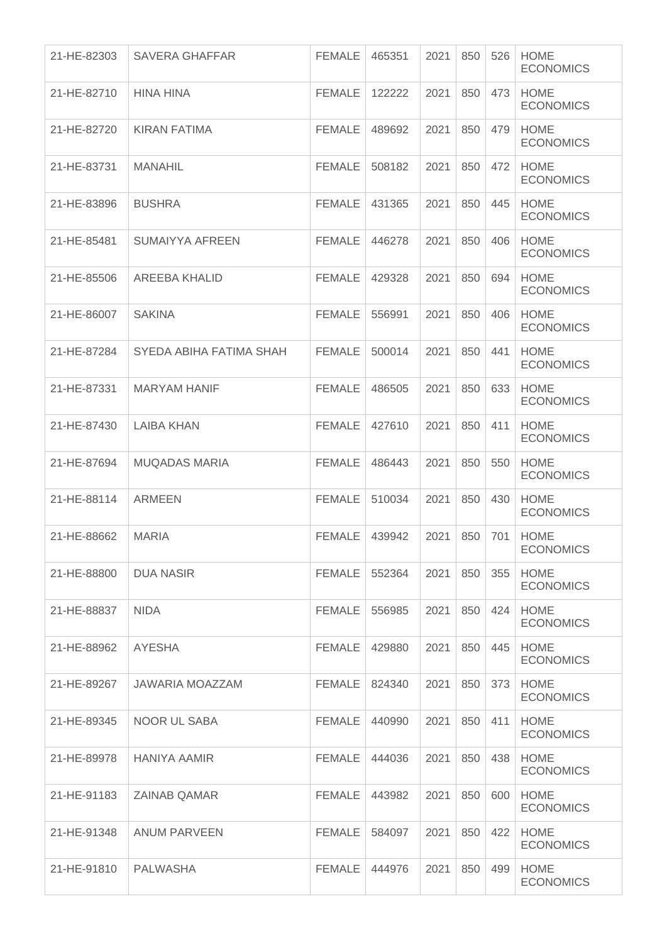| 21-HE-82303 | SAVERA GHAFFAR          | <b>FEMALE</b> | 465351 | 2021 | 850 | 526 | <b>HOME</b><br><b>ECONOMICS</b> |
|-------------|-------------------------|---------------|--------|------|-----|-----|---------------------------------|
| 21-HE-82710 | <b>HINA HINA</b>        | <b>FEMALE</b> | 122222 | 2021 | 850 | 473 | <b>HOME</b><br><b>ECONOMICS</b> |
| 21-HE-82720 | <b>KIRAN FATIMA</b>     | <b>FEMALE</b> | 489692 | 2021 | 850 | 479 | <b>HOME</b><br><b>ECONOMICS</b> |
| 21-HE-83731 | <b>MANAHIL</b>          | <b>FEMALE</b> | 508182 | 2021 | 850 | 472 | <b>HOME</b><br><b>ECONOMICS</b> |
| 21-HE-83896 | <b>BUSHRA</b>           | <b>FEMALE</b> | 431365 | 2021 | 850 | 445 | <b>HOME</b><br><b>ECONOMICS</b> |
| 21-HE-85481 | <b>SUMAIYYA AFREEN</b>  | <b>FEMALE</b> | 446278 | 2021 | 850 | 406 | <b>HOME</b><br><b>ECONOMICS</b> |
| 21-HE-85506 | <b>AREEBA KHALID</b>    | <b>FEMALE</b> | 429328 | 2021 | 850 | 694 | <b>HOME</b><br><b>ECONOMICS</b> |
| 21-HE-86007 | <b>SAKINA</b>           | <b>FEMALE</b> | 556991 | 2021 | 850 | 406 | <b>HOME</b><br><b>ECONOMICS</b> |
| 21-HE-87284 | SYEDA ABIHA FATIMA SHAH | <b>FEMALE</b> | 500014 | 2021 | 850 | 441 | <b>HOME</b><br><b>ECONOMICS</b> |
| 21-HE-87331 | <b>MARYAM HANIF</b>     | <b>FEMALE</b> | 486505 | 2021 | 850 | 633 | <b>HOME</b><br><b>ECONOMICS</b> |
| 21-HE-87430 | <b>LAIBA KHAN</b>       | <b>FEMALE</b> | 427610 | 2021 | 850 | 411 | <b>HOME</b><br><b>ECONOMICS</b> |
| 21-HE-87694 | <b>MUQADAS MARIA</b>    | <b>FEMALE</b> | 486443 | 2021 | 850 | 550 | <b>HOME</b><br><b>ECONOMICS</b> |
| 21-HE-88114 | <b>ARMEEN</b>           | <b>FEMALE</b> | 510034 | 2021 | 850 | 430 | <b>HOME</b><br><b>ECONOMICS</b> |
| 21-HE-88662 | <b>MARIA</b>            | <b>FEMALE</b> | 439942 | 2021 | 850 | 701 | <b>HOME</b><br><b>ECONOMICS</b> |
| 21-HE-88800 | <b>DUA NASIR</b>        | <b>FEMALE</b> | 552364 | 2021 | 850 | 355 | <b>HOME</b><br><b>ECONOMICS</b> |
| 21-HE-88837 | <b>NIDA</b>             | <b>FEMALE</b> | 556985 | 2021 | 850 | 424 | <b>HOME</b><br><b>ECONOMICS</b> |
| 21-HE-88962 | <b>AYESHA</b>           | <b>FEMALE</b> | 429880 | 2021 | 850 | 445 | <b>HOME</b><br><b>ECONOMICS</b> |
| 21-HE-89267 | JAWARIA MOAZZAM         | <b>FEMALE</b> | 824340 | 2021 | 850 | 373 | <b>HOME</b><br><b>ECONOMICS</b> |
| 21-HE-89345 | NOOR UL SABA            | <b>FEMALE</b> | 440990 | 2021 | 850 | 411 | <b>HOME</b><br><b>ECONOMICS</b> |
| 21-HE-89978 | <b>HANIYA AAMIR</b>     | <b>FEMALE</b> | 444036 | 2021 | 850 | 438 | <b>HOME</b><br><b>ECONOMICS</b> |
| 21-HE-91183 | <b>ZAINAB QAMAR</b>     | <b>FEMALE</b> | 443982 | 2021 | 850 | 600 | <b>HOME</b><br><b>ECONOMICS</b> |
| 21-HE-91348 | <b>ANUM PARVEEN</b>     | <b>FEMALE</b> | 584097 | 2021 | 850 | 422 | <b>HOME</b><br><b>ECONOMICS</b> |
| 21-HE-91810 | <b>PALWASHA</b>         | FEMALE        | 444976 | 2021 | 850 | 499 | <b>HOME</b><br><b>ECONOMICS</b> |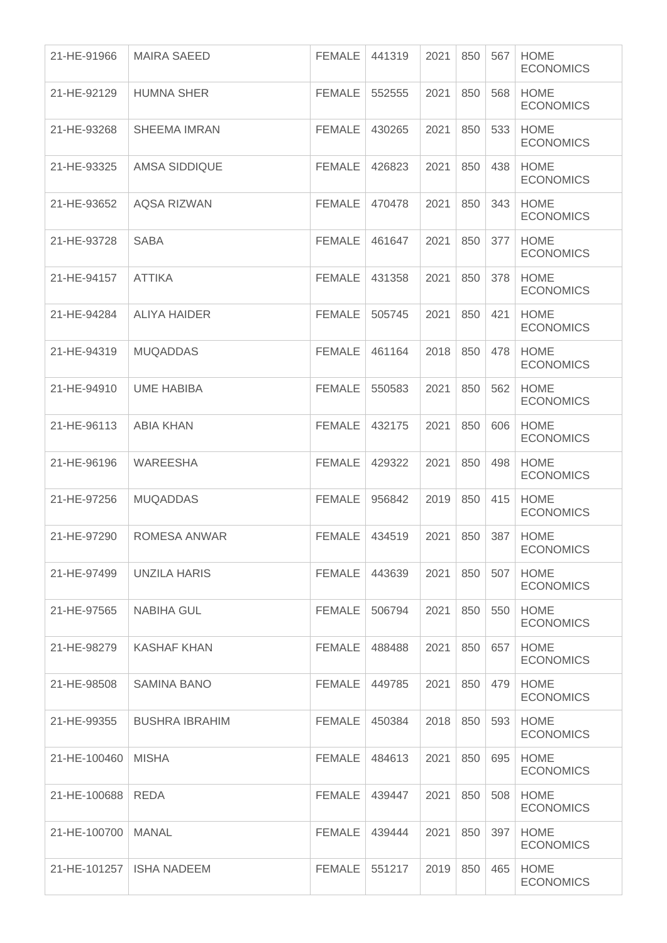| 21-HE-91966  | <b>MAIRA SAEED</b>    | <b>FEMALE</b> | 441319 | 2021 | 850 | 567 | <b>HOME</b><br><b>ECONOMICS</b> |
|--------------|-----------------------|---------------|--------|------|-----|-----|---------------------------------|
| 21-HE-92129  | <b>HUMNA SHER</b>     | <b>FEMALE</b> | 552555 | 2021 | 850 | 568 | <b>HOME</b><br><b>ECONOMICS</b> |
| 21-HE-93268  | <b>SHEEMA IMRAN</b>   | <b>FEMALE</b> | 430265 | 2021 | 850 | 533 | <b>HOME</b><br><b>ECONOMICS</b> |
| 21-HE-93325  | AMSA SIDDIQUE         | <b>FEMALE</b> | 426823 | 2021 | 850 | 438 | <b>HOME</b><br><b>ECONOMICS</b> |
| 21-HE-93652  | <b>AQSA RIZWAN</b>    | <b>FEMALE</b> | 470478 | 2021 | 850 | 343 | <b>HOME</b><br><b>ECONOMICS</b> |
| 21-HE-93728  | <b>SABA</b>           | <b>FEMALE</b> | 461647 | 2021 | 850 | 377 | <b>HOME</b><br><b>ECONOMICS</b> |
| 21-HE-94157  | <b>ATTIKA</b>         | <b>FEMALE</b> | 431358 | 2021 | 850 | 378 | <b>HOME</b><br><b>ECONOMICS</b> |
| 21-HE-94284  | <b>ALIYA HAIDER</b>   | <b>FEMALE</b> | 505745 | 2021 | 850 | 421 | <b>HOME</b><br><b>ECONOMICS</b> |
| 21-HE-94319  | <b>MUQADDAS</b>       | <b>FEMALE</b> | 461164 | 2018 | 850 | 478 | <b>HOME</b><br><b>ECONOMICS</b> |
| 21-HE-94910  | <b>UME HABIBA</b>     | <b>FEMALE</b> | 550583 | 2021 | 850 | 562 | <b>HOME</b><br><b>ECONOMICS</b> |
| 21-HE-96113  | <b>ABIA KHAN</b>      | <b>FEMALE</b> | 432175 | 2021 | 850 | 606 | <b>HOME</b><br><b>ECONOMICS</b> |
| 21-HE-96196  | <b>WAREESHA</b>       | <b>FEMALE</b> | 429322 | 2021 | 850 | 498 | <b>HOME</b><br><b>ECONOMICS</b> |
| 21-HE-97256  | <b>MUQADDAS</b>       | <b>FEMALE</b> | 956842 | 2019 | 850 | 415 | <b>HOME</b><br><b>ECONOMICS</b> |
| 21-HE-97290  | <b>ROMESA ANWAR</b>   | <b>FEMALE</b> | 434519 | 2021 | 850 | 387 | <b>HOME</b><br><b>ECONOMICS</b> |
| 21-HE-97499  | UNZILA HARIS          | <b>FEMALE</b> | 443639 | 2021 | 850 | 507 | <b>HOME</b><br><b>ECONOMICS</b> |
| 21-HE-97565  | <b>NABIHA GUL</b>     | <b>FEMALE</b> | 506794 | 2021 | 850 | 550 | <b>HOME</b><br><b>ECONOMICS</b> |
| 21-HE-98279  | KASHAF KHAN           | <b>FEMALE</b> | 488488 | 2021 | 850 | 657 | <b>HOME</b><br><b>ECONOMICS</b> |
| 21-HE-98508  | SAMINA BANO           | <b>FEMALE</b> | 449785 | 2021 | 850 | 479 | <b>HOME</b><br><b>ECONOMICS</b> |
| 21-HE-99355  | <b>BUSHRA IBRAHIM</b> | <b>FEMALE</b> | 450384 | 2018 | 850 | 593 | <b>HOME</b><br><b>ECONOMICS</b> |
| 21-HE-100460 | <b>MISHA</b>          | <b>FEMALE</b> | 484613 | 2021 | 850 | 695 | <b>HOME</b><br><b>ECONOMICS</b> |
| 21-HE-100688 | REDA                  | <b>FEMALE</b> | 439447 | 2021 | 850 | 508 | <b>HOME</b><br><b>ECONOMICS</b> |
| 21-HE-100700 | <b>MANAL</b>          | <b>FEMALE</b> | 439444 | 2021 | 850 | 397 | <b>HOME</b><br><b>ECONOMICS</b> |
| 21-HE-101257 | <b>ISHA NADEEM</b>    | <b>FEMALE</b> | 551217 | 2019 | 850 | 465 | <b>HOME</b><br><b>ECONOMICS</b> |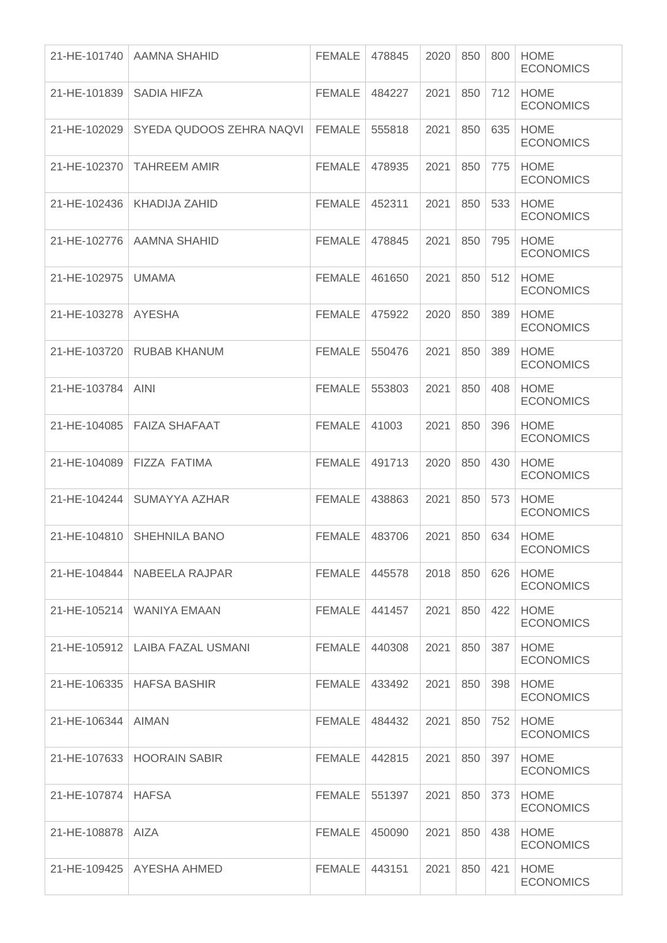| 21-HE-101740 | AAMNA SHAHID                      | <b>FEMALE</b> | 478845 | 2020 | 850 | 800 | <b>HOME</b><br><b>ECONOMICS</b> |
|--------------|-----------------------------------|---------------|--------|------|-----|-----|---------------------------------|
| 21-HE-101839 | SADIA HIFZA                       | <b>FEMALE</b> | 484227 | 2021 | 850 | 712 | <b>HOME</b><br><b>ECONOMICS</b> |
| 21-HE-102029 | SYEDA QUDOOS ZEHRA NAQVI          | FEMALE        | 555818 | 2021 | 850 | 635 | <b>HOME</b><br><b>ECONOMICS</b> |
| 21-HE-102370 | <b>TAHREEM AMIR</b>               | <b>FEMALE</b> | 478935 | 2021 | 850 | 775 | <b>HOME</b><br><b>ECONOMICS</b> |
| 21-HE-102436 | KHADIJA ZAHID                     | <b>FEMALE</b> | 452311 | 2021 | 850 | 533 | <b>HOME</b><br><b>ECONOMICS</b> |
| 21-HE-102776 | AAMNA SHAHID                      | <b>FEMALE</b> | 478845 | 2021 | 850 | 795 | <b>HOME</b><br><b>ECONOMICS</b> |
| 21-HE-102975 | <b>UMAMA</b>                      | <b>FEMALE</b> | 461650 | 2021 | 850 | 512 | <b>HOME</b><br><b>ECONOMICS</b> |
| 21-HE-103278 | <b>AYESHA</b>                     | <b>FEMALE</b> | 475922 | 2020 | 850 | 389 | <b>HOME</b><br><b>ECONOMICS</b> |
| 21-HE-103720 | <b>RUBAB KHANUM</b>               | <b>FEMALE</b> | 550476 | 2021 | 850 | 389 | <b>HOME</b><br><b>ECONOMICS</b> |
| 21-HE-103784 | <b>AINI</b>                       | <b>FEMALE</b> | 553803 | 2021 | 850 | 408 | <b>HOME</b><br><b>ECONOMICS</b> |
| 21-HE-104085 | <b>FAIZA SHAFAAT</b>              | <b>FEMALE</b> | 41003  | 2021 | 850 | 396 | <b>HOME</b><br><b>ECONOMICS</b> |
| 21-HE-104089 | <b>FIZZA FATIMA</b>               | <b>FEMALE</b> | 491713 | 2020 | 850 | 430 | <b>HOME</b><br><b>ECONOMICS</b> |
| 21-HE-104244 | SUMAYYA AZHAR                     | <b>FEMALE</b> | 438863 | 2021 | 850 | 573 | <b>HOME</b><br><b>ECONOMICS</b> |
| 21-HE-104810 | <b>SHEHNILA BANO</b>              | <b>FEMALE</b> | 483706 | 2021 | 850 | 634 | <b>HOME</b><br><b>ECONOMICS</b> |
|              | $21$ -HE-104844   NABEELA RAJPAR  | FEMALE        | 445578 | 2018 | 850 | 626 | <b>HOME</b><br><b>ECONOMICS</b> |
| 21-HE-105214 | WANIYA EMAAN                      | <b>FEMALE</b> | 441457 | 2021 | 850 | 422 | <b>HOME</b><br><b>ECONOMICS</b> |
|              | 21-HE-105912   LAIBA FAZAL USMANI | <b>FEMALE</b> | 440308 | 2021 | 850 | 387 | <b>HOME</b><br><b>ECONOMICS</b> |
| 21-HE-106335 | <b>HAFSA BASHIR</b>               | <b>FEMALE</b> | 433492 | 2021 | 850 | 398 | <b>HOME</b><br><b>ECONOMICS</b> |
| 21-HE-106344 | <b>AIMAN</b>                      | <b>FEMALE</b> | 484432 | 2021 | 850 | 752 | <b>HOME</b><br><b>ECONOMICS</b> |
| 21-HE-107633 | <b>HOORAIN SABIR</b>              | <b>FEMALE</b> | 442815 | 2021 | 850 | 397 | <b>HOME</b><br><b>ECONOMICS</b> |
| 21-HE-107874 | <b>HAFSA</b>                      | <b>FEMALE</b> | 551397 | 2021 | 850 | 373 | <b>HOME</b><br><b>ECONOMICS</b> |
| 21-HE-108878 | <b>AIZA</b>                       | <b>FEMALE</b> | 450090 | 2021 | 850 | 438 | <b>HOME</b><br><b>ECONOMICS</b> |
|              | 21-HE-109425   AYESHA AHMED       | FEMALE        | 443151 | 2021 | 850 | 421 | <b>HOME</b><br><b>ECONOMICS</b> |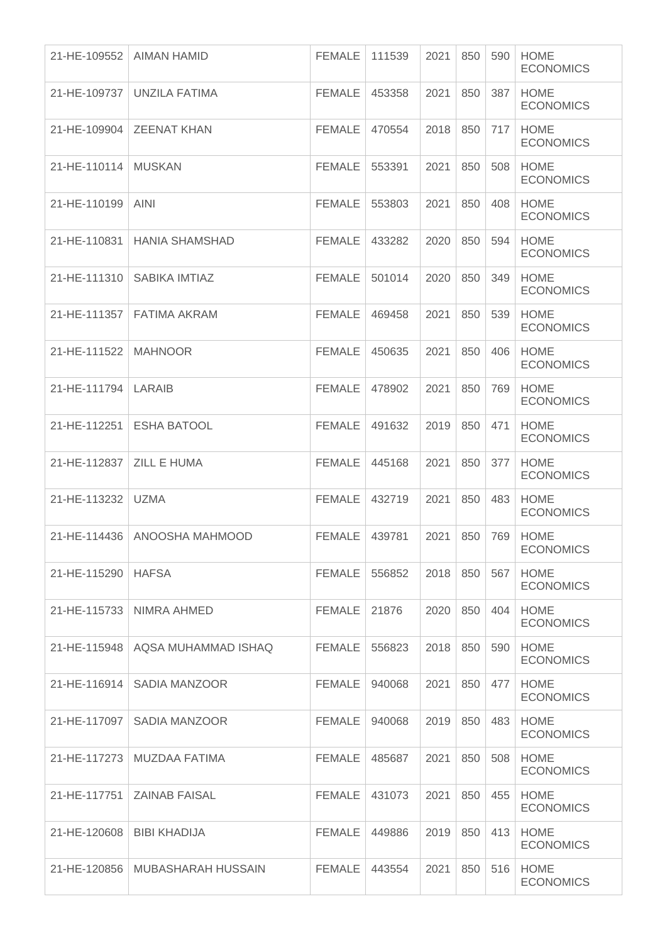| 21-HE-109552          | <b>AIMAN HAMID</b>           | <b>FEMALE</b> | 111539 | 2021 | 850 | 590 | <b>HOME</b><br><b>ECONOMICS</b> |
|-----------------------|------------------------------|---------------|--------|------|-----|-----|---------------------------------|
| 21-HE-109737          | UNZILA FATIMA                | <b>FEMALE</b> | 453358 | 2021 | 850 | 387 | <b>HOME</b><br><b>ECONOMICS</b> |
|                       | 21-HE-109904   ZEENAT KHAN   | <b>FEMALE</b> | 470554 | 2018 | 850 | 717 | <b>HOME</b><br><b>ECONOMICS</b> |
| 21-HE-110114          | <b>MUSKAN</b>                | <b>FEMALE</b> | 553391 | 2021 | 850 | 508 | <b>HOME</b><br><b>ECONOMICS</b> |
| 21-HE-110199          | <b>AINI</b>                  | <b>FEMALE</b> | 553803 | 2021 | 850 | 408 | <b>HOME</b><br><b>ECONOMICS</b> |
| 21-HE-110831          | <b>HANIA SHAMSHAD</b>        | <b>FEMALE</b> | 433282 | 2020 | 850 | 594 | <b>HOME</b><br><b>ECONOMICS</b> |
|                       | 21-HE-111310   SABIKA IMTIAZ | <b>FEMALE</b> | 501014 | 2020 | 850 | 349 | <b>HOME</b><br><b>ECONOMICS</b> |
| 21-HE-111357          | <b>FATIMA AKRAM</b>          | <b>FEMALE</b> | 469458 | 2021 | 850 | 539 | <b>HOME</b><br><b>ECONOMICS</b> |
| 21-HE-111522          | <b>MAHNOOR</b>               | <b>FEMALE</b> | 450635 | 2021 | 850 | 406 | <b>HOME</b><br><b>ECONOMICS</b> |
| 21-HE-111794   LARAIB |                              | <b>FEMALE</b> | 478902 | 2021 | 850 | 769 | <b>HOME</b><br><b>ECONOMICS</b> |
| 21-HE-112251          | <b>ESHA BATOOL</b>           | <b>FEMALE</b> | 491632 | 2019 | 850 | 471 | <b>HOME</b><br><b>ECONOMICS</b> |
| 21-HE-112837          | <b>ZILL E HUMA</b>           | <b>FEMALE</b> | 445168 | 2021 | 850 | 377 | <b>HOME</b><br><b>ECONOMICS</b> |
| 21-HE-113232          | <b>UZMA</b>                  | <b>FEMALE</b> | 432719 | 2021 | 850 | 483 | <b>HOME</b><br><b>ECONOMICS</b> |
| 21-HE-114436          | ANOOSHA MAHMOOD              | FEMALE        | 439781 | 2021 | 850 | 769 | <b>HOME</b><br><b>ECONOMICS</b> |
| 21-HE-115290   HAFSA  |                              | <b>FEMALE</b> | 556852 | 2018 | 850 | 567 | <b>HOME</b><br><b>ECONOMICS</b> |
| 21-HE-115733          | NIMRA AHMED                  | <b>FEMALE</b> | 21876  | 2020 | 850 | 404 | <b>HOME</b><br><b>ECONOMICS</b> |
| 21-HE-115948          | AQSA MUHAMMAD ISHAQ          | <b>FEMALE</b> | 556823 | 2018 | 850 | 590 | <b>HOME</b><br><b>ECONOMICS</b> |
| 21-HE-116914          | SADIA MANZOOR                | <b>FEMALE</b> | 940068 | 2021 | 850 | 477 | <b>HOME</b><br><b>ECONOMICS</b> |
| 21-HE-117097          | SADIA MANZOOR                | <b>FEMALE</b> | 940068 | 2019 | 850 | 483 | <b>HOME</b><br><b>ECONOMICS</b> |
| 21-HE-117273          | MUZDAA FATIMA                | <b>FEMALE</b> | 485687 | 2021 | 850 | 508 | <b>HOME</b><br><b>ECONOMICS</b> |
| 21-HE-117751          | <b>ZAINAB FAISAL</b>         | <b>FEMALE</b> | 431073 | 2021 | 850 | 455 | <b>HOME</b><br><b>ECONOMICS</b> |
| 21-HE-120608          | <b>BIBI KHADIJA</b>          | <b>FEMALE</b> | 449886 | 2019 | 850 | 413 | <b>HOME</b><br><b>ECONOMICS</b> |
| 21-HE-120856          | MUBASHARAH HUSSAIN           | FEMALE        | 443554 | 2021 | 850 | 516 | <b>HOME</b><br><b>ECONOMICS</b> |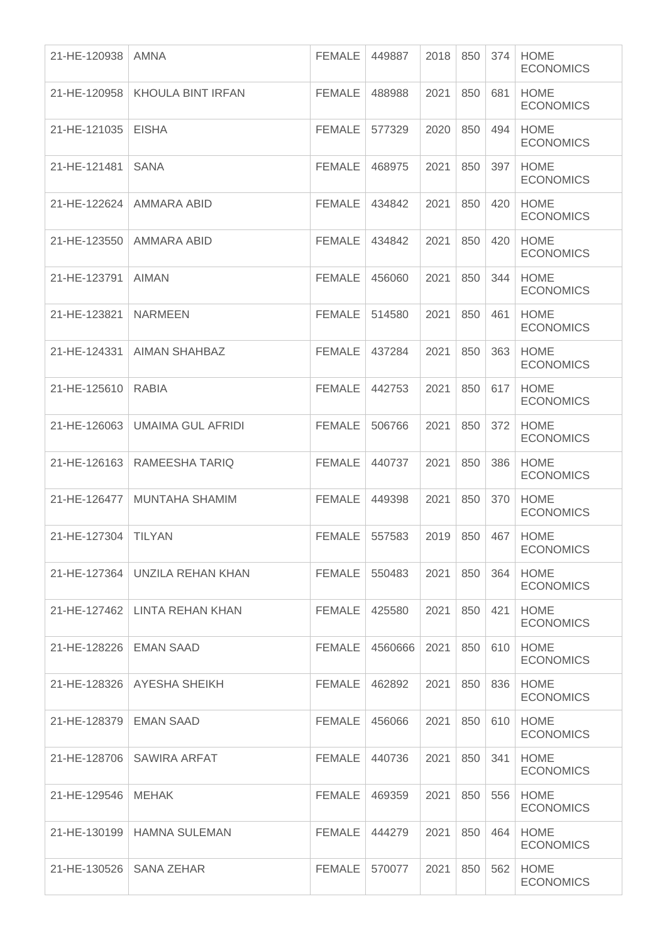| 21-HE-120938             | AMNA                             | <b>FEMALE</b> | 449887  | 2018 | 850 | 374 | <b>HOME</b><br><b>ECONOMICS</b> |
|--------------------------|----------------------------------|---------------|---------|------|-----|-----|---------------------------------|
| 21-HE-120958             | <b>KHOULA BINT IRFAN</b>         | <b>FEMALE</b> | 488988  | 2021 | 850 | 681 | <b>HOME</b><br><b>ECONOMICS</b> |
| 21-HE-121035             | <b>EISHA</b>                     | <b>FEMALE</b> | 577329  | 2020 | 850 | 494 | <b>HOME</b><br><b>ECONOMICS</b> |
| 21-HE-121481             | <b>SANA</b>                      | <b>FEMALE</b> | 468975  | 2021 | 850 | 397 | <b>HOME</b><br><b>ECONOMICS</b> |
| 21-HE-122624             | AMMARA ABID                      | <b>FEMALE</b> | 434842  | 2021 | 850 | 420 | <b>HOME</b><br><b>ECONOMICS</b> |
| 21-HE-123550             | AMMARA ABID                      | <b>FEMALE</b> | 434842  | 2021 | 850 | 420 | <b>HOME</b><br><b>ECONOMICS</b> |
| 21-HE-123791             | <b>AIMAN</b>                     | <b>FEMALE</b> | 456060  | 2021 | 850 | 344 | <b>HOME</b><br><b>ECONOMICS</b> |
| 21-HE-123821             | <b>NARMEEN</b>                   | <b>FEMALE</b> | 514580  | 2021 | 850 | 461 | <b>HOME</b><br><b>ECONOMICS</b> |
| 21-HE-124331             | <b>AIMAN SHAHBAZ</b>             | <b>FEMALE</b> | 437284  | 2021 | 850 | 363 | <b>HOME</b><br><b>ECONOMICS</b> |
| 21-HE-125610             | <b>RABIA</b>                     | <b>FEMALE</b> | 442753  | 2021 | 850 | 617 | <b>HOME</b><br><b>ECONOMICS</b> |
| 21-HE-126063             | <b>UMAIMA GUL AFRIDI</b>         | <b>FEMALE</b> | 506766  | 2021 | 850 | 372 | <b>HOME</b><br><b>ECONOMICS</b> |
| 21-HE-126163             | RAMEESHA TARIQ                   | <b>FEMALE</b> | 440737  | 2021 | 850 | 386 | <b>HOME</b><br><b>ECONOMICS</b> |
| 21-HE-126477             | <b>MUNTAHA SHAMIM</b>            | <b>FEMALE</b> | 449398  | 2021 | 850 | 370 | <b>HOME</b><br><b>ECONOMICS</b> |
| 21-HE-127304             | <b>TILYAN</b>                    | <b>FEMALE</b> | 557583  | 2019 | 850 | 467 | <b>HOME</b><br><b>ECONOMICS</b> |
|                          | 21-HE-127364   UNZILA REHAN KHAN | <b>FEMALE</b> | 550483  | 2021 | 850 | 364 | <b>HOME</b><br><b>ECONOMICS</b> |
|                          | 21-HE-127462   LINTA REHAN KHAN  | <b>FEMALE</b> | 425580  | 2021 | 850 | 421 | <b>HOME</b><br><b>ECONOMICS</b> |
| 21-HE-128226   EMAN SAAD |                                  | <b>FEMALE</b> | 4560666 | 2021 | 850 | 610 | <b>HOME</b><br><b>ECONOMICS</b> |
| 21-HE-128326             | <b>AYESHA SHEIKH</b>             | <b>FEMALE</b> | 462892  | 2021 | 850 | 836 | <b>HOME</b><br><b>ECONOMICS</b> |
| 21-HE-128379             | <b>EMAN SAAD</b>                 | <b>FEMALE</b> | 456066  | 2021 | 850 | 610 | <b>HOME</b><br><b>ECONOMICS</b> |
| 21-HE-128706             | <b>SAWIRA ARFAT</b>              | <b>FEMALE</b> | 440736  | 2021 | 850 | 341 | <b>HOME</b><br><b>ECONOMICS</b> |
| 21-HE-129546             | <b>MEHAK</b>                     | FEMALE        | 469359  | 2021 | 850 | 556 | <b>HOME</b><br><b>ECONOMICS</b> |
| 21-HE-130199             | <b>HAMNA SULEMAN</b>             | <b>FEMALE</b> | 444279  | 2021 | 850 | 464 | <b>HOME</b><br><b>ECONOMICS</b> |
| 21-HE-130526             | SANA ZEHAR                       | <b>FEMALE</b> | 570077  | 2021 | 850 | 562 | <b>HOME</b><br><b>ECONOMICS</b> |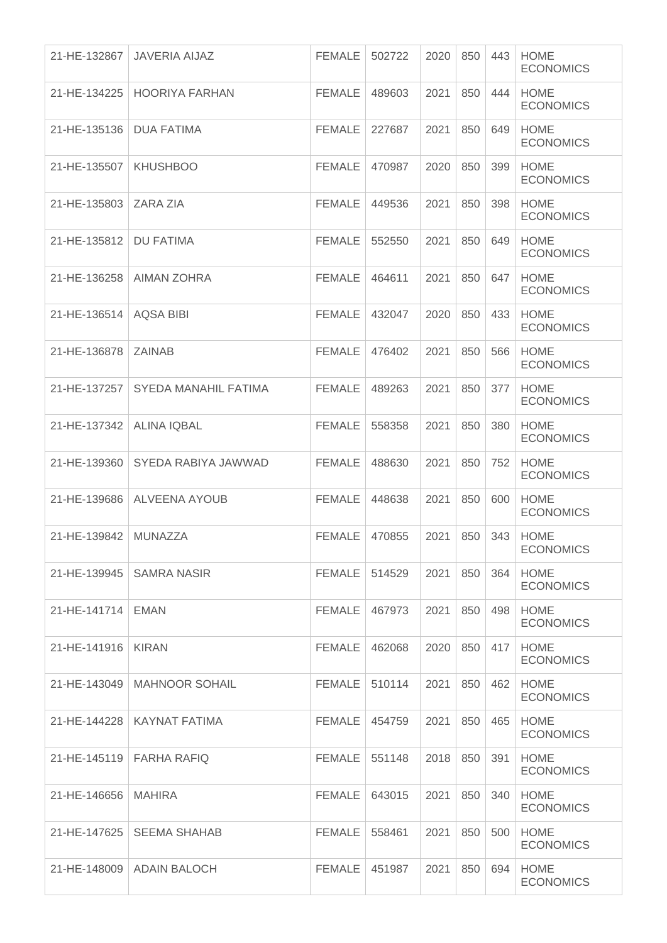| 21-HE-132867         | <b>JAVERIA AIJAZ</b>         | <b>FEMALE</b> | 502722 | 2020 | 850 | 443 | <b>HOME</b><br><b>ECONOMICS</b> |
|----------------------|------------------------------|---------------|--------|------|-----|-----|---------------------------------|
| 21-HE-134225         | <b>HOORIYA FARHAN</b>        | <b>FEMALE</b> | 489603 | 2021 | 850 | 444 | <b>HOME</b><br><b>ECONOMICS</b> |
| 21-HE-135136         | <b>DUA FATIMA</b>            | <b>FEMALE</b> | 227687 | 2021 | 850 | 649 | <b>HOME</b><br><b>ECONOMICS</b> |
| 21-HE-135507         | <b>KHUSHBOO</b>              | <b>FEMALE</b> | 470987 | 2020 | 850 | 399 | <b>HOME</b><br><b>ECONOMICS</b> |
| 21-HE-135803         | ZARA ZIA                     | <b>FEMALE</b> | 449536 | 2021 | 850 | 398 | <b>HOME</b><br><b>ECONOMICS</b> |
| 21-HE-135812         | <b>DU FATIMA</b>             | <b>FEMALE</b> | 552550 | 2021 | 850 | 649 | <b>HOME</b><br><b>ECONOMICS</b> |
| 21-HE-136258         | <b>AIMAN ZOHRA</b>           | <b>FEMALE</b> | 464611 | 2021 | 850 | 647 | <b>HOME</b><br><b>ECONOMICS</b> |
| 21-HE-136514         | <b>AQSA BIBI</b>             | <b>FEMALE</b> | 432047 | 2020 | 850 | 433 | <b>HOME</b><br><b>ECONOMICS</b> |
| 21-HE-136878         | <b>ZAINAB</b>                | <b>FEMALE</b> | 476402 | 2021 | 850 | 566 | <b>HOME</b><br><b>ECONOMICS</b> |
| 21-HE-137257         | SYEDA MANAHIL FATIMA         | <b>FEMALE</b> | 489263 | 2021 | 850 | 377 | <b>HOME</b><br><b>ECONOMICS</b> |
| 21-HE-137342         | <b>ALINA IQBAL</b>           | <b>FEMALE</b> | 558358 | 2021 | 850 | 380 | <b>HOME</b><br><b>ECONOMICS</b> |
| 21-HE-139360         | SYEDA RABIYA JAWWAD          | <b>FEMALE</b> | 488630 | 2021 | 850 | 752 | <b>HOME</b><br><b>ECONOMICS</b> |
| 21-HE-139686         | <b>ALVEENA AYOUB</b>         | <b>FEMALE</b> | 448638 | 2021 | 850 | 600 | <b>HOME</b><br><b>ECONOMICS</b> |
| 21-HE-139842         | <b>MUNAZZA</b>               | <b>FEMALE</b> | 470855 | 2021 | 850 | 343 | <b>HOME</b><br><b>ECONOMICS</b> |
| 21-HE-139945         | SAMRA NASIR                  | FEMALE        | 514529 | 2021 | 850 | 364 | <b>HOME</b><br><b>ECONOMICS</b> |
| 21-HE-141714         | EMAN                         | <b>FEMALE</b> | 467973 | 2021 | 850 | 498 | <b>HOME</b><br><b>ECONOMICS</b> |
| 21-HE-141916   KIRAN |                              | <b>FEMALE</b> | 462068 | 2020 | 850 | 417 | <b>HOME</b><br><b>ECONOMICS</b> |
| 21-HE-143049         | <b>MAHNOOR SOHAIL</b>        | FEMALE        | 510114 | 2021 | 850 | 462 | <b>HOME</b><br><b>ECONOMICS</b> |
|                      | 21-HE-144228   KAYNAT FATIMA | <b>FEMALE</b> | 454759 | 2021 | 850 | 465 | <b>HOME</b><br><b>ECONOMICS</b> |
|                      | 21-HE-145119   FARHA RAFIQ   | FEMALE        | 551148 | 2018 | 850 | 391 | <b>HOME</b><br><b>ECONOMICS</b> |
| 21-HE-146656         | <b>MAHIRA</b>                | FEMALE        | 643015 | 2021 | 850 | 340 | <b>HOME</b><br><b>ECONOMICS</b> |
| 21-HE-147625         | <b>SEEMA SHAHAB</b>          | <b>FEMALE</b> | 558461 | 2021 | 850 | 500 | <b>HOME</b><br><b>ECONOMICS</b> |
|                      | 21-HE-148009   ADAIN BALOCH  | <b>FEMALE</b> | 451987 | 2021 | 850 | 694 | <b>HOME</b><br><b>ECONOMICS</b> |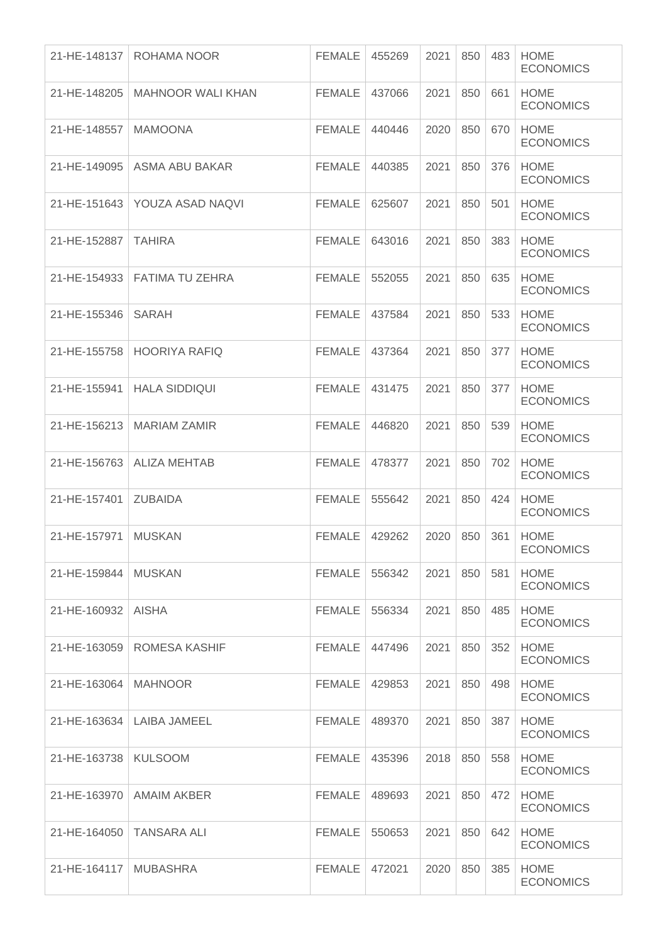| 21-HE-148137 | ROHAMA NOOR                    | <b>FEMALE</b> | 455269 | 2021 | 850 | 483 | <b>HOME</b><br><b>ECONOMICS</b> |
|--------------|--------------------------------|---------------|--------|------|-----|-----|---------------------------------|
| 21-HE-148205 | <b>MAHNOOR WALI KHAN</b>       | <b>FEMALE</b> | 437066 | 2021 | 850 | 661 | <b>HOME</b><br><b>ECONOMICS</b> |
| 21-HE-148557 | <b>MAMOONA</b>                 | <b>FEMALE</b> | 440446 | 2020 | 850 | 670 | <b>HOME</b><br><b>ECONOMICS</b> |
| 21-HE-149095 | ASMA ABU BAKAR                 | <b>FEMALE</b> | 440385 | 2021 | 850 | 376 | <b>HOME</b><br><b>ECONOMICS</b> |
| 21-HE-151643 | YOUZA ASAD NAQVI               | <b>FEMALE</b> | 625607 | 2021 | 850 | 501 | <b>HOME</b><br><b>ECONOMICS</b> |
| 21-HE-152887 | <b>TAHIRA</b>                  | <b>FEMALE</b> | 643016 | 2021 | 850 | 383 | <b>HOME</b><br><b>ECONOMICS</b> |
|              | 21-HE-154933   FATIMA TU ZEHRA | <b>FEMALE</b> | 552055 | 2021 | 850 | 635 | <b>HOME</b><br><b>ECONOMICS</b> |
| 21-HE-155346 | <b>SARAH</b>                   | <b>FEMALE</b> | 437584 | 2021 | 850 | 533 | <b>HOME</b><br><b>ECONOMICS</b> |
| 21-HE-155758 | <b>HOORIYA RAFIQ</b>           | <b>FEMALE</b> | 437364 | 2021 | 850 | 377 | <b>HOME</b><br><b>ECONOMICS</b> |
| 21-HE-155941 | <b>HALA SIDDIQUI</b>           | <b>FEMALE</b> | 431475 | 2021 | 850 | 377 | <b>HOME</b><br><b>ECONOMICS</b> |
| 21-HE-156213 | <b>MARIAM ZAMIR</b>            | <b>FEMALE</b> | 446820 | 2021 | 850 | 539 | <b>HOME</b><br><b>ECONOMICS</b> |
| 21-HE-156763 | <b>ALIZA MEHTAB</b>            | <b>FEMALE</b> | 478377 | 2021 | 850 | 702 | <b>HOME</b><br><b>ECONOMICS</b> |
| 21-HE-157401 | <b>ZUBAIDA</b>                 | <b>FEMALE</b> | 555642 | 2021 | 850 | 424 | <b>HOME</b><br><b>ECONOMICS</b> |
| 21-HE-157971 | <b>MUSKAN</b>                  | <b>FEMALE</b> | 429262 | 2020 | 850 | 361 | <b>HOME</b><br><b>ECONOMICS</b> |
| 21-HE-159844 | <b>MUSKAN</b>                  | <b>FEMALE</b> | 556342 | 2021 | 850 | 581 | <b>HOME</b><br><b>ECONOMICS</b> |
| 21-HE-160932 | <b>AISHA</b>                   | <b>FEMALE</b> | 556334 | 2021 | 850 | 485 | <b>HOME</b><br><b>ECONOMICS</b> |
| 21-HE-163059 | ROMESA KASHIF                  | <b>FEMALE</b> | 447496 | 2021 | 850 | 352 | <b>HOME</b><br><b>ECONOMICS</b> |
| 21-HE-163064 | <b>MAHNOOR</b>                 | <b>FEMALE</b> | 429853 | 2021 | 850 | 498 | <b>HOME</b><br><b>ECONOMICS</b> |
| 21-HE-163634 | LAIBA JAMEEL                   | <b>FEMALE</b> | 489370 | 2021 | 850 | 387 | <b>HOME</b><br><b>ECONOMICS</b> |
| 21-HE-163738 | <b>KULSOOM</b>                 | <b>FEMALE</b> | 435396 | 2018 | 850 | 558 | <b>HOME</b><br><b>ECONOMICS</b> |
| 21-HE-163970 | <b>AMAIM AKBER</b>             | <b>FEMALE</b> | 489693 | 2021 | 850 | 472 | <b>HOME</b><br><b>ECONOMICS</b> |
| 21-HE-164050 | <b>TANSARA ALI</b>             | <b>FEMALE</b> | 550653 | 2021 | 850 | 642 | <b>HOME</b><br><b>ECONOMICS</b> |
| 21-HE-164117 | <b>MUBASHRA</b>                | <b>FEMALE</b> | 472021 | 2020 | 850 | 385 | <b>HOME</b><br><b>ECONOMICS</b> |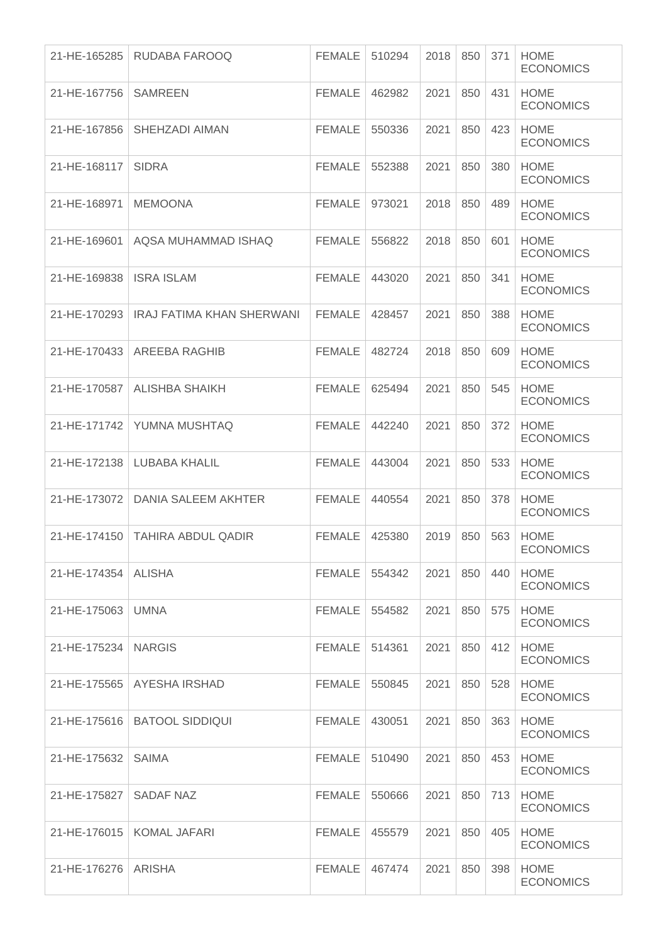| 21-HE-165285          | RUDABA FAROOQ                    | <b>FEMALE</b> | 510294 | 2018 | 850 | 371 | <b>HOME</b><br><b>ECONOMICS</b> |
|-----------------------|----------------------------------|---------------|--------|------|-----|-----|---------------------------------|
| 21-HE-167756          | <b>SAMREEN</b>                   | <b>FEMALE</b> | 462982 | 2021 | 850 | 431 | <b>HOME</b><br><b>ECONOMICS</b> |
| 21-HE-167856          | SHEHZADI AIMAN                   | <b>FEMALE</b> | 550336 | 2021 | 850 | 423 | <b>HOME</b><br><b>ECONOMICS</b> |
| 21-HE-168117          | <b>SIDRA</b>                     | <b>FEMALE</b> | 552388 | 2021 | 850 | 380 | <b>HOME</b><br><b>ECONOMICS</b> |
| 21-HE-168971          | <b>MEMOONA</b>                   | <b>FEMALE</b> | 973021 | 2018 | 850 | 489 | <b>HOME</b><br><b>ECONOMICS</b> |
| 21-HE-169601          | AQSA MUHAMMAD ISHAQ              | <b>FEMALE</b> | 556822 | 2018 | 850 | 601 | <b>HOME</b><br><b>ECONOMICS</b> |
| 21-HE-169838          | <b>ISRA ISLAM</b>                | <b>FEMALE</b> | 443020 | 2021 | 850 | 341 | <b>HOME</b><br><b>ECONOMICS</b> |
| 21-HE-170293          | <b>IRAJ FATIMA KHAN SHERWANI</b> | <b>FEMALE</b> | 428457 | 2021 | 850 | 388 | <b>HOME</b><br><b>ECONOMICS</b> |
| 21-HE-170433          | <b>AREEBA RAGHIB</b>             | <b>FEMALE</b> | 482724 | 2018 | 850 | 609 | <b>HOME</b><br><b>ECONOMICS</b> |
| 21-HE-170587          | <b>ALISHBA SHAIKH</b>            | <b>FEMALE</b> | 625494 | 2021 | 850 | 545 | <b>HOME</b><br><b>ECONOMICS</b> |
| 21-HE-171742          | YUMNA MUSHTAQ                    | <b>FEMALE</b> | 442240 | 2021 | 850 | 372 | <b>HOME</b><br><b>ECONOMICS</b> |
| 21-HE-172138          | LUBABA KHALIL                    | <b>FEMALE</b> | 443004 | 2021 | 850 | 533 | <b>HOME</b><br><b>ECONOMICS</b> |
| 21-HE-173072          | DANIA SALEEM AKHTER              | <b>FEMALE</b> | 440554 | 2021 | 850 | 378 | <b>HOME</b><br><b>ECONOMICS</b> |
| 21-HE-174150          | <b>TAHIRA ABDUL QADIR</b>        | <b>FEMALE</b> | 425380 | 2019 | 850 | 563 | <b>HOME</b><br><b>ECONOMICS</b> |
| 21-HE-174354   ALISHA |                                  | FEMALE        | 554342 | 2021 | 850 | 440 | <b>HOME</b><br><b>ECONOMICS</b> |
| 21-HE-175063          | <b>UMNA</b>                      | FEMALE        | 554582 | 2021 | 850 | 575 | <b>HOME</b><br><b>ECONOMICS</b> |
| 21-HE-175234   NARGIS |                                  | <b>FEMALE</b> | 514361 | 2021 | 850 | 412 | <b>HOME</b><br><b>ECONOMICS</b> |
| 21-HE-175565          | AYESHA IRSHAD                    | <b>FEMALE</b> | 550845 | 2021 | 850 | 528 | <b>HOME</b><br><b>ECONOMICS</b> |
| 21-HE-175616          | <b>BATOOL SIDDIQUI</b>           | <b>FEMALE</b> | 430051 | 2021 | 850 | 363 | <b>HOME</b><br><b>ECONOMICS</b> |
| 21-HE-175632          | <b>SAIMA</b>                     | FEMALE        | 510490 | 2021 | 850 | 453 | <b>HOME</b><br><b>ECONOMICS</b> |
| 21-HE-175827          | <b>SADAF NAZ</b>                 | <b>FEMALE</b> | 550666 | 2021 | 850 | 713 | <b>HOME</b><br><b>ECONOMICS</b> |
| 21-HE-176015          | <b>KOMAL JAFARI</b>              | <b>FEMALE</b> | 455579 | 2021 | 850 | 405 | <b>HOME</b><br><b>ECONOMICS</b> |
| 21-HE-176276 ARISHA   |                                  | FEMALE        | 467474 | 2021 | 850 | 398 | <b>HOME</b><br><b>ECONOMICS</b> |